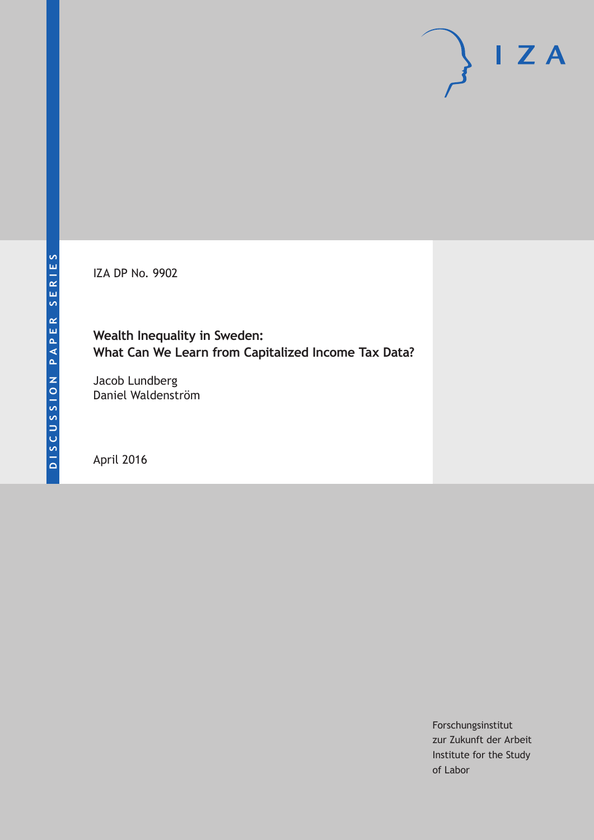IZA DP No. 9902

**Wealth Inequality in Sweden: What Can We Learn from Capitalized Income Tax Data?**

Jacob Lundberg Daniel Waldenström

April 2016

Forschungsinstitut zur Zukunft der Arbeit Institute for the Study of Labor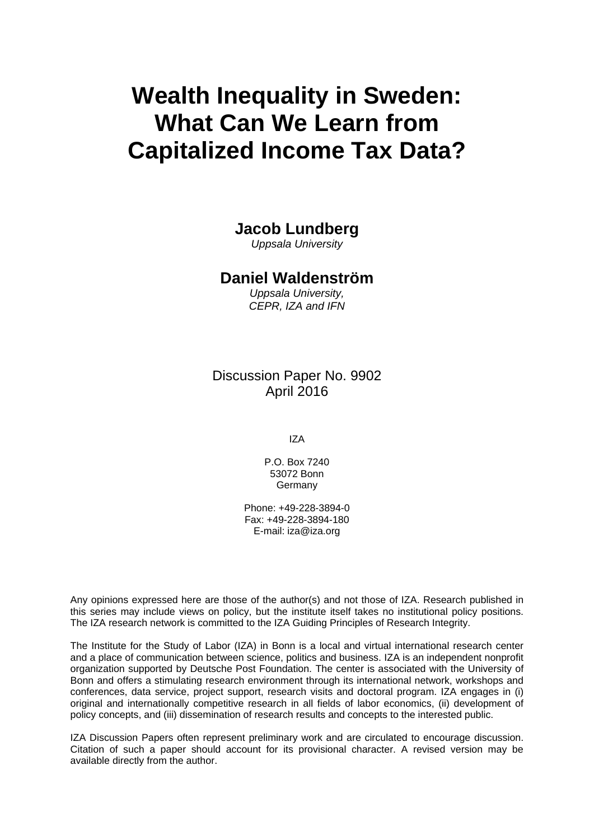# **Wealth Inequality in Sweden: What Can We Learn from Capitalized Income Tax Data?**

### **Jacob Lundberg**

*Uppsala University* 

### **Daniel Waldenström**

*Uppsala University, CEPR, IZA and IFN* 

Discussion Paper No. 9902 April 2016

IZA

P.O. Box 7240 53072 Bonn **Germany** 

Phone: +49-228-3894-0 Fax: +49-228-3894-180 E-mail: iza@iza.org

Any opinions expressed here are those of the author(s) and not those of IZA. Research published in this series may include views on policy, but the institute itself takes no institutional policy positions. The IZA research network is committed to the IZA Guiding Principles of Research Integrity.

The Institute for the Study of Labor (IZA) in Bonn is a local and virtual international research center and a place of communication between science, politics and business. IZA is an independent nonprofit organization supported by Deutsche Post Foundation. The center is associated with the University of Bonn and offers a stimulating research environment through its international network, workshops and conferences, data service, project support, research visits and doctoral program. IZA engages in (i) original and internationally competitive research in all fields of labor economics, (ii) development of policy concepts, and (iii) dissemination of research results and concepts to the interested public.

IZA Discussion Papers often represent preliminary work and are circulated to encourage discussion. Citation of such a paper should account for its provisional character. A revised version may be available directly from the author.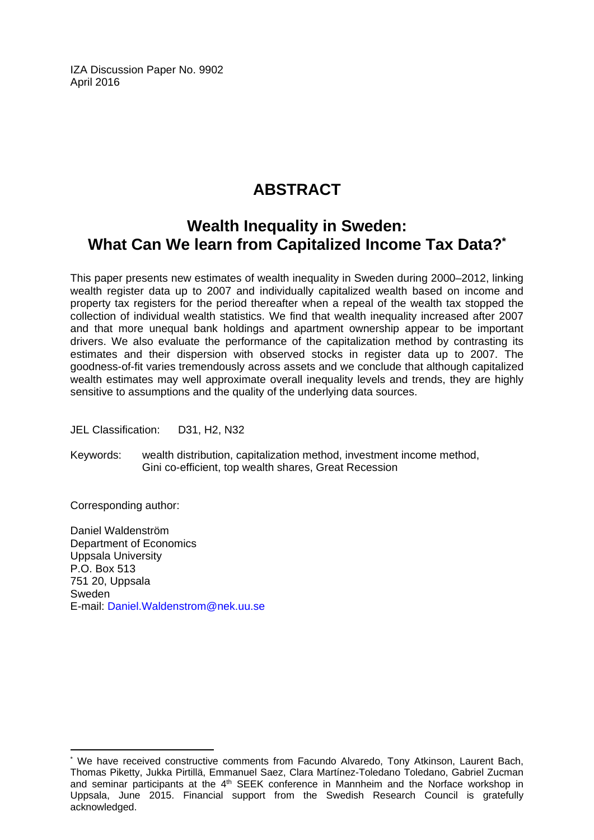IZA Discussion Paper No. 9902 April 2016

# **ABSTRACT**

# **Wealth Inequality in Sweden: What Can We learn from Capitalized Income Tax Data?\***

This paper presents new estimates of wealth inequality in Sweden during 2000–2012, linking wealth register data up to 2007 and individually capitalized wealth based on income and property tax registers for the period thereafter when a repeal of the wealth tax stopped the collection of individual wealth statistics. We find that wealth inequality increased after 2007 and that more unequal bank holdings and apartment ownership appear to be important drivers. We also evaluate the performance of the capitalization method by contrasting its estimates and their dispersion with observed stocks in register data up to 2007. The goodness-of-fit varies tremendously across assets and we conclude that although capitalized wealth estimates may well approximate overall inequality levels and trends, they are highly sensitive to assumptions and the quality of the underlying data sources.

JEL Classification: D31, H2, N32

Keywords: wealth distribution, capitalization method, investment income method, Gini co-efficient, top wealth shares, Great Recession

Corresponding author:

 $\overline{a}$ 

Daniel Waldenström Department of Economics Uppsala University P.O. Box 513 751 20, Uppsala Sweden E-mail: Daniel.Waldenstrom@nek.uu.se

<sup>\*</sup> We have received constructive comments from Facundo Alvaredo, Tony Atkinson, Laurent Bach, Thomas Piketty, Jukka Pirtillä, Emmanuel Saez, Clara Martínez-Toledano Toledano, Gabriel Zucman and seminar participants at the 4<sup>th</sup> SEEK conference in Mannheim and the Norface workshop in Uppsala, June 2015. Financial support from the Swedish Research Council is gratefully acknowledged.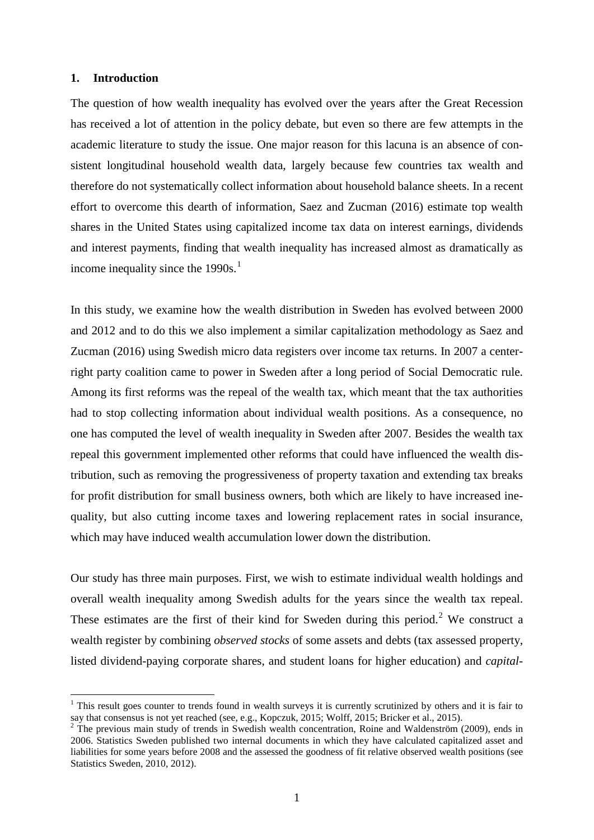#### **1. Introduction**

 $\overline{a}$ 

The question of how wealth inequality has evolved over the years after the Great Recession has received a lot of attention in the policy debate, but even so there are few attempts in the academic literature to study the issue. One major reason for this lacuna is an absence of consistent longitudinal household wealth data, largely because few countries tax wealth and therefore do not systematically collect information about household balance sheets. In a recent effort to overcome this dearth of information, Saez and Zucman (2016) estimate top wealth shares in the United States using capitalized income tax data on interest earnings, dividends and interest payments, finding that wealth inequality has increased almost as dramatically as income inequality since the [1](#page-3-0)990s.<sup>1</sup>

In this study, we examine how the wealth distribution in Sweden has evolved between 2000 and 2012 and to do this we also implement a similar capitalization methodology as Saez and Zucman (2016) using Swedish micro data registers over income tax returns. In 2007 a centerright party coalition came to power in Sweden after a long period of Social Democratic rule. Among its first reforms was the repeal of the wealth tax, which meant that the tax authorities had to stop collecting information about individual wealth positions. As a consequence, no one has computed the level of wealth inequality in Sweden after 2007. Besides the wealth tax repeal this government implemented other reforms that could have influenced the wealth distribution, such as removing the progressiveness of property taxation and extending tax breaks for profit distribution for small business owners, both which are likely to have increased inequality, but also cutting income taxes and lowering replacement rates in social insurance, which may have induced wealth accumulation lower down the distribution.

Our study has three main purposes. First, we wish to estimate individual wealth holdings and overall wealth inequality among Swedish adults for the years since the wealth tax repeal. These estimates are the first of their kind for Sweden during this period.<sup>[2](#page-3-1)</sup> We construct a wealth register by combining *observed stocks* of some assets and debts (tax assessed property, listed dividend-paying corporate shares, and student loans for higher education) and *capital-*

<span id="page-3-0"></span><sup>&</sup>lt;sup>1</sup> This result goes counter to trends found in wealth surveys it is currently scrutinized by others and it is fair to say that consensus is not yet reached (see, e.g., Kopczuk, 2015; Wolff, 2015; Bricker et al., 2015).

<span id="page-3-1"></span>The previous main study of trends in Swedish wealth concentration, Roine and Waldenström (2009), ends in 2006. Statistics Sweden published two internal documents in which they have calculated capitalized asset and liabilities for some years before 2008 and the assessed the goodness of fit relative observed wealth positions (see Statistics Sweden, 2010, 2012).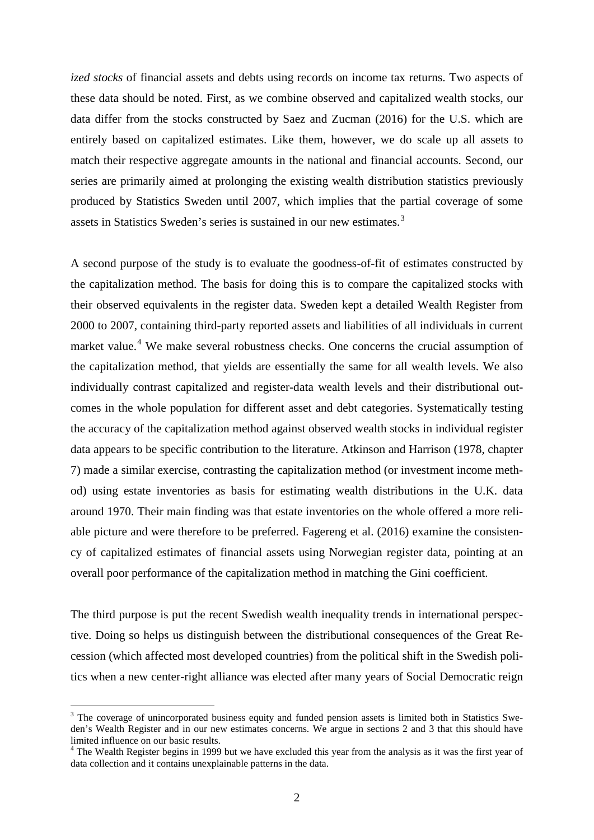*ized stocks* of financial assets and debts using records on income tax returns. Two aspects of these data should be noted. First, as we combine observed and capitalized wealth stocks, our data differ from the stocks constructed by Saez and Zucman (2016) for the U.S. which are entirely based on capitalized estimates. Like them, however, we do scale up all assets to match their respective aggregate amounts in the national and financial accounts. Second, our series are primarily aimed at prolonging the existing wealth distribution statistics previously produced by Statistics Sweden until 2007, which implies that the partial coverage of some assets in Statistics Sweden's series is sustained in our new estimates.<sup>[3](#page-4-0)</sup>

A second purpose of the study is to evaluate the goodness-of-fit of estimates constructed by the capitalization method. The basis for doing this is to compare the capitalized stocks with their observed equivalents in the register data. Sweden kept a detailed Wealth Register from 2000 to 2007, containing third-party reported assets and liabilities of all individuals in current market value.<sup>[4](#page-4-1)</sup> We make several robustness checks. One concerns the crucial assumption of the capitalization method, that yields are essentially the same for all wealth levels. We also individually contrast capitalized and register-data wealth levels and their distributional outcomes in the whole population for different asset and debt categories. Systematically testing the accuracy of the capitalization method against observed wealth stocks in individual register data appears to be specific contribution to the literature. Atkinson and Harrison (1978, chapter 7) made a similar exercise, contrasting the capitalization method (or investment income method) using estate inventories as basis for estimating wealth distributions in the U.K. data around 1970. Their main finding was that estate inventories on the whole offered a more reliable picture and were therefore to be preferred. Fagereng et al. (2016) examine the consistency of capitalized estimates of financial assets using Norwegian register data, pointing at an overall poor performance of the capitalization method in matching the Gini coefficient.

The third purpose is put the recent Swedish wealth inequality trends in international perspective. Doing so helps us distinguish between the distributional consequences of the Great Recession (which affected most developed countries) from the political shift in the Swedish politics when a new center-right alliance was elected after many years of Social Democratic reign

 $\overline{a}$ 

<span id="page-4-0"></span><sup>&</sup>lt;sup>3</sup> The coverage of unincorporated business equity and funded pension assets is limited both in Statistics Sweden's Wealth Register and in our new estimates concerns. We argue in sections 2 and 3 that this should have limited influence on our basic results.

<span id="page-4-1"></span> $4$  The Wealth Register begins in 1999 but we have excluded this year from the analysis as it was the first year of data collection and it contains unexplainable patterns in the data.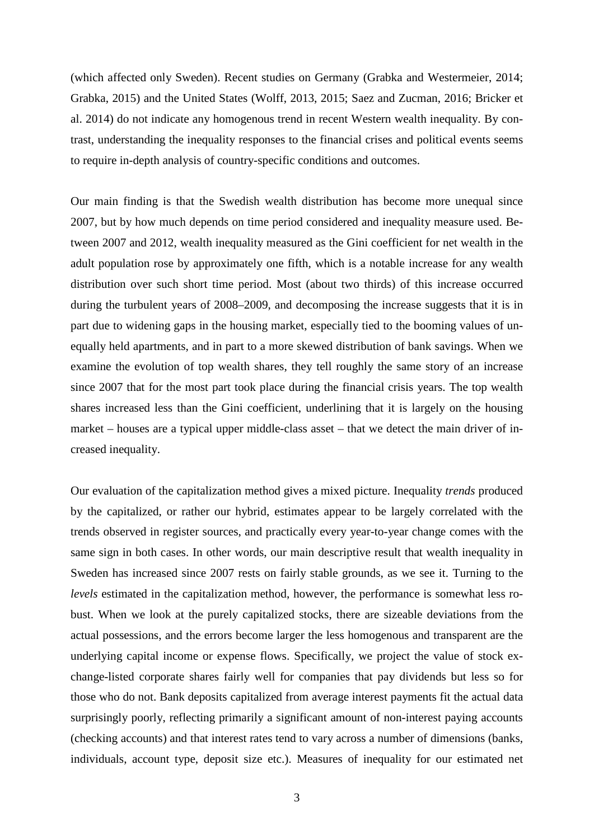(which affected only Sweden). Recent studies on Germany (Grabka and Westermeier, 2014; Grabka, 2015) and the United States (Wolff, 2013, 2015; Saez and Zucman, 2016; Bricker et al. 2014) do not indicate any homogenous trend in recent Western wealth inequality. By contrast, understanding the inequality responses to the financial crises and political events seems to require in-depth analysis of country-specific conditions and outcomes.

Our main finding is that the Swedish wealth distribution has become more unequal since 2007, but by how much depends on time period considered and inequality measure used. Between 2007 and 2012, wealth inequality measured as the Gini coefficient for net wealth in the adult population rose by approximately one fifth, which is a notable increase for any wealth distribution over such short time period. Most (about two thirds) of this increase occurred during the turbulent years of 2008–2009, and decomposing the increase suggests that it is in part due to widening gaps in the housing market, especially tied to the booming values of unequally held apartments, and in part to a more skewed distribution of bank savings. When we examine the evolution of top wealth shares, they tell roughly the same story of an increase since 2007 that for the most part took place during the financial crisis years. The top wealth shares increased less than the Gini coefficient, underlining that it is largely on the housing market – houses are a typical upper middle-class asset – that we detect the main driver of increased inequality.

Our evaluation of the capitalization method gives a mixed picture. Inequality *trends* produced by the capitalized, or rather our hybrid, estimates appear to be largely correlated with the trends observed in register sources, and practically every year-to-year change comes with the same sign in both cases. In other words, our main descriptive result that wealth inequality in Sweden has increased since 2007 rests on fairly stable grounds, as we see it. Turning to the *levels* estimated in the capitalization method, however, the performance is somewhat less robust. When we look at the purely capitalized stocks, there are sizeable deviations from the actual possessions, and the errors become larger the less homogenous and transparent are the underlying capital income or expense flows. Specifically, we project the value of stock exchange-listed corporate shares fairly well for companies that pay dividends but less so for those who do not. Bank deposits capitalized from average interest payments fit the actual data surprisingly poorly, reflecting primarily a significant amount of non-interest paying accounts (checking accounts) and that interest rates tend to vary across a number of dimensions (banks, individuals, account type, deposit size etc.). Measures of inequality for our estimated net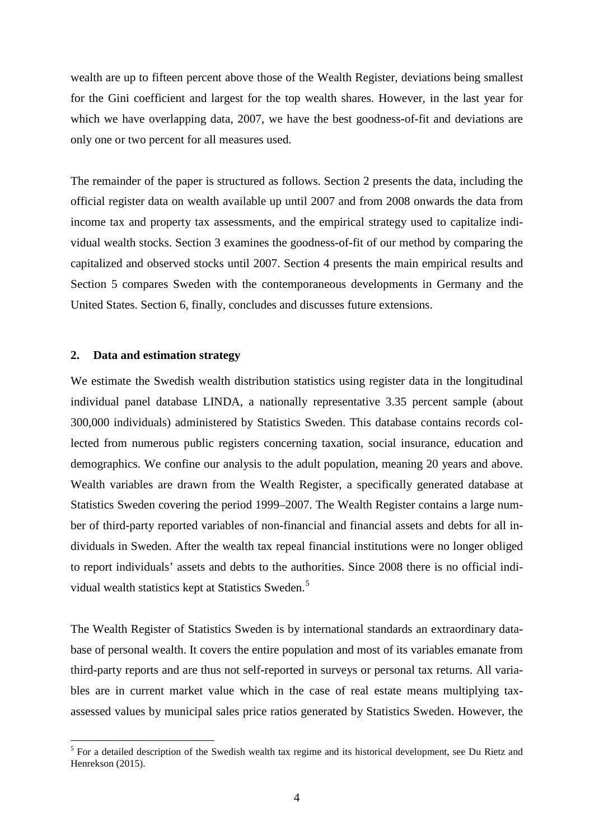wealth are up to fifteen percent above those of the Wealth Register, deviations being smallest for the Gini coefficient and largest for the top wealth shares. However, in the last year for which we have overlapping data, 2007, we have the best goodness-of-fit and deviations are only one or two percent for all measures used.

The remainder of the paper is structured as follows. Section 2 presents the data, including the official register data on wealth available up until 2007 and from 2008 onwards the data from income tax and property tax assessments, and the empirical strategy used to capitalize individual wealth stocks. Section 3 examines the goodness-of-fit of our method by comparing the capitalized and observed stocks until 2007. Section 4 presents the main empirical results and Section 5 compares Sweden with the contemporaneous developments in Germany and the United States. Section 6, finally, concludes and discusses future extensions.

#### **2. Data and estimation strategy**

 $\overline{a}$ 

We estimate the Swedish wealth distribution statistics using register data in the longitudinal individual panel database LINDA, a nationally representative 3.35 percent sample (about 300,000 individuals) administered by Statistics Sweden. This database contains records collected from numerous public registers concerning taxation, social insurance, education and demographics. We confine our analysis to the adult population, meaning 20 years and above. Wealth variables are drawn from the Wealth Register, a specifically generated database at Statistics Sweden covering the period 1999–2007. The Wealth Register contains a large number of third-party reported variables of non-financial and financial assets and debts for all individuals in Sweden. After the wealth tax repeal financial institutions were no longer obliged to report individuals' assets and debts to the authorities. Since 2008 there is no official individual wealth statistics kept at Statistics Sweden. [5](#page-6-0)

The Wealth Register of Statistics Sweden is by international standards an extraordinary database of personal wealth. It covers the entire population and most of its variables emanate from third-party reports and are thus not self-reported in surveys or personal tax returns. All variables are in current market value which in the case of real estate means multiplying taxassessed values by municipal sales price ratios generated by Statistics Sweden. However, the

<span id="page-6-0"></span><sup>&</sup>lt;sup>5</sup> For a detailed description of the Swedish wealth tax regime and its historical development, see Du Rietz and Henrekson (2015).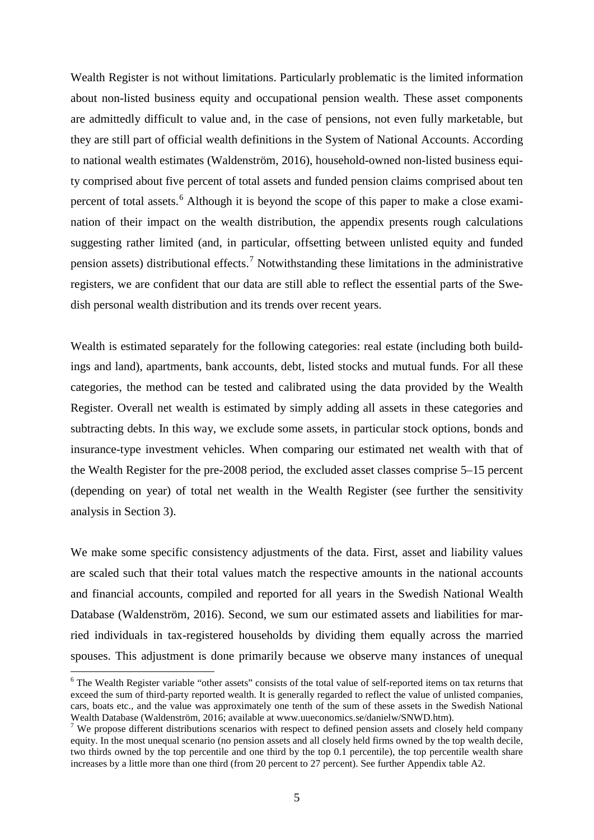Wealth Register is not without limitations. Particularly problematic is the limited information about non-listed business equity and occupational pension wealth. These asset components are admittedly difficult to value and, in the case of pensions, not even fully marketable, but they are still part of official wealth definitions in the System of National Accounts. According to national wealth estimates (Waldenström, 2016), household-owned non-listed business equity comprised about five percent of total assets and funded pension claims comprised about ten percent of total assets.<sup>[6](#page-7-0)</sup> Although it is beyond the scope of this paper to make a close examination of their impact on the wealth distribution, the appendix presents rough calculations suggesting rather limited (and, in particular, offsetting between unlisted equity and funded pension assets) distributional effects.<sup>[7](#page-7-1)</sup> Notwithstanding these limitations in the administrative registers, we are confident that our data are still able to reflect the essential parts of the Swedish personal wealth distribution and its trends over recent years.

Wealth is estimated separately for the following categories: real estate (including both buildings and land), apartments, bank accounts, debt, listed stocks and mutual funds. For all these categories, the method can be tested and calibrated using the data provided by the Wealth Register. Overall net wealth is estimated by simply adding all assets in these categories and subtracting debts. In this way, we exclude some assets, in particular stock options, bonds and insurance-type investment vehicles. When comparing our estimated net wealth with that of the Wealth Register for the pre-2008 period, the excluded asset classes comprise 5–15 percent (depending on year) of total net wealth in the Wealth Register (see further the sensitivity analysis in Section 3).

We make some specific consistency adjustments of the data. First, asset and liability values are scaled such that their total values match the respective amounts in the national accounts and financial accounts, compiled and reported for all years in the Swedish National Wealth Database (Waldenström, 2016). Second, we sum our estimated assets and liabilities for married individuals in tax-registered households by dividing them equally across the married spouses. This adjustment is done primarily because we observe many instances of unequal

 $\overline{a}$ 

<span id="page-7-0"></span><sup>&</sup>lt;sup>6</sup> The Wealth Register variable "other assets" consists of the total value of self-reported items on tax returns that exceed the sum of third-party reported wealth. It is generally regarded to reflect the value of unlisted companies, cars, boats etc., and the value was approximately one tenth of the sum of these assets in the Swedish National Wealth Database (Waldenström, 2016; available at www.uueconomics.se/danielw/SNWD.htm).

<span id="page-7-1"></span> $7$  We propose different distributions scenarios with respect to defined pension assets and closely held company equity. In the most unequal scenario (no pension assets and all closely held firms owned by the top wealth decile, two thirds owned by the top percentile and one third by the top 0.1 percentile), the top percentile wealth share increases by a little more than one third (from 20 percent to 27 percent). See further Appendix table A2.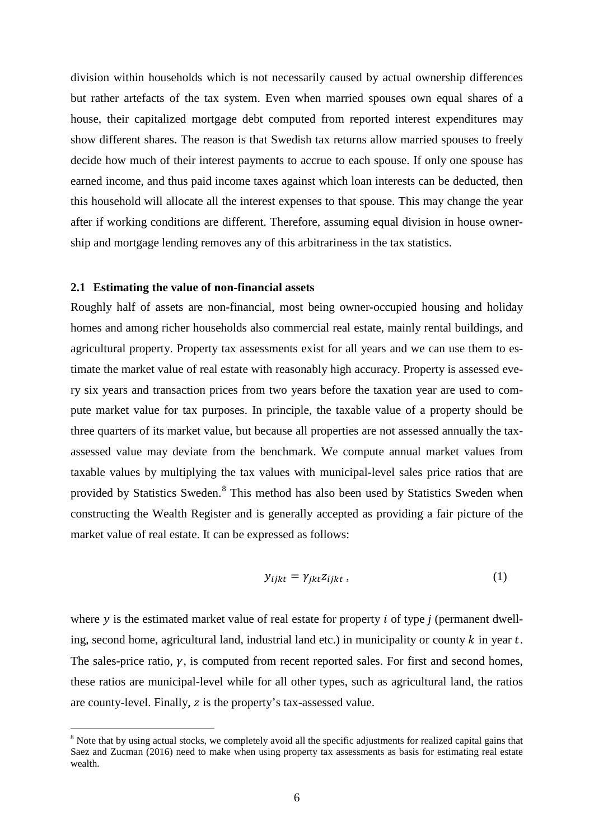division within households which is not necessarily caused by actual ownership differences but rather artefacts of the tax system. Even when married spouses own equal shares of a house, their capitalized mortgage debt computed from reported interest expenditures may show different shares. The reason is that Swedish tax returns allow married spouses to freely decide how much of their interest payments to accrue to each spouse. If only one spouse has earned income, and thus paid income taxes against which loan interests can be deducted, then this household will allocate all the interest expenses to that spouse. This may change the year after if working conditions are different. Therefore, assuming equal division in house ownership and mortgage lending removes any of this arbitrariness in the tax statistics.

#### **2.1 Estimating the value of non-financial assets**

 $\overline{a}$ 

Roughly half of assets are non-financial, most being owner-occupied housing and holiday homes and among richer households also commercial real estate, mainly rental buildings, and agricultural property. Property tax assessments exist for all years and we can use them to estimate the market value of real estate with reasonably high accuracy. Property is assessed every six years and transaction prices from two years before the taxation year are used to compute market value for tax purposes. In principle, the taxable value of a property should be three quarters of its market value, but because all properties are not assessed annually the taxassessed value may deviate from the benchmark. We compute annual market values from taxable values by multiplying the tax values with municipal-level sales price ratios that are provided by Statistics Sweden.[8](#page-8-0) This method has also been used by Statistics Sweden when constructing the Wealth Register and is generally accepted as providing a fair picture of the market value of real estate. It can be expressed as follows:

$$
y_{ijkt} = \gamma_{jkt} z_{ijkt} , \qquad (1)
$$

where  $y$  is the estimated market value of real estate for property  $i$  of type  $j$  (permanent dwelling, second home, agricultural land, industrial land etc.) in municipality or county  $k$  in year  $t$ . The sales-price ratio,  $\gamma$ , is computed from recent reported sales. For first and second homes, these ratios are municipal-level while for all other types, such as agricultural land, the ratios are county-level. Finally, z is the property's tax-assessed value.

<span id="page-8-0"></span><sup>&</sup>lt;sup>8</sup> Note that by using actual stocks, we completely avoid all the specific adjustments for realized capital gains that Saez and Zucman (2016) need to make when using property tax assessments as basis for estimating real estate wealth.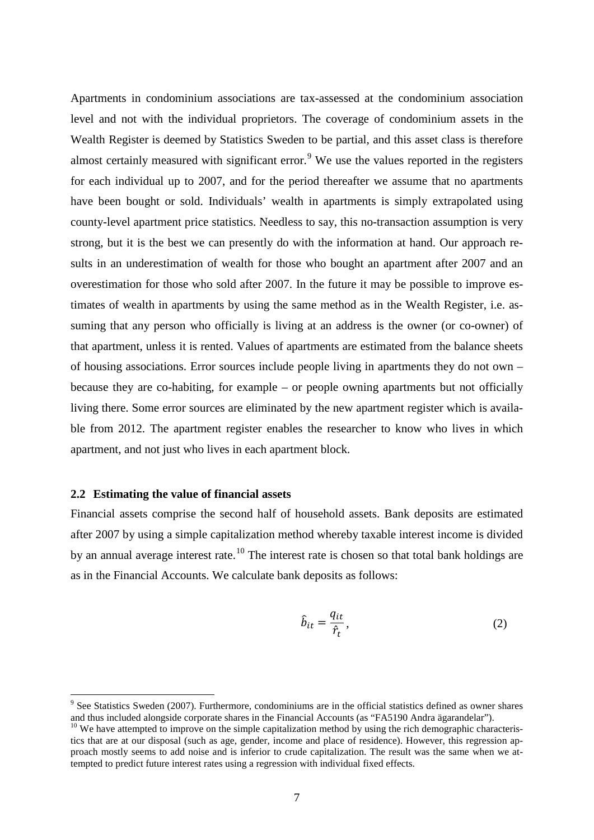Apartments in condominium associations are tax-assessed at the condominium association level and not with the individual proprietors. The coverage of condominium assets in the Wealth Register is deemed by Statistics Sweden to be partial, and this asset class is therefore almost certainly measured with significant error.<sup>[9](#page-9-0)</sup> We use the values reported in the registers for each individual up to 2007, and for the period thereafter we assume that no apartments have been bought or sold. Individuals' wealth in apartments is simply extrapolated using county-level apartment price statistics. Needless to say, this no-transaction assumption is very strong, but it is the best we can presently do with the information at hand. Our approach results in an underestimation of wealth for those who bought an apartment after 2007 and an overestimation for those who sold after 2007. In the future it may be possible to improve estimates of wealth in apartments by using the same method as in the Wealth Register, i.e. assuming that any person who officially is living at an address is the owner (or co-owner) of that apartment, unless it is rented. Values of apartments are estimated from the balance sheets of housing associations. Error sources include people living in apartments they do not own – because they are co-habiting, for example – or people owning apartments but not officially living there. Some error sources are eliminated by the new apartment register which is available from 2012. The apartment register enables the researcher to know who lives in which apartment, and not just who lives in each apartment block.

#### **2.2 Estimating the value of financial assets**

 $\overline{a}$ 

Financial assets comprise the second half of household assets. Bank deposits are estimated after 2007 by using a simple capitalization method whereby taxable interest income is divided by an annual average interest rate.<sup>[10](#page-9-1)</sup> The interest rate is chosen so that total bank holdings are as in the Financial Accounts. We calculate bank deposits as follows:

$$
\hat{b}_{it} = \frac{q_{it}}{\hat{r}_t},\tag{2}
$$

<span id="page-9-0"></span> $9$  See Statistics Sweden (2007). Furthermore, condominiums are in the official statistics defined as owner shares and thus included alongside corporate shares in the Financial Accounts (as "FA5190 Andra ägarandelar").<br><sup>10</sup> We have attempted to improve on the simple capitalization method by using the rich demographic characteris-

<span id="page-9-1"></span>tics that are at our disposal (such as age, gender, income and place of residence). However, this regression approach mostly seems to add noise and is inferior to crude capitalization. The result was the same when we attempted to predict future interest rates using a regression with individual fixed effects.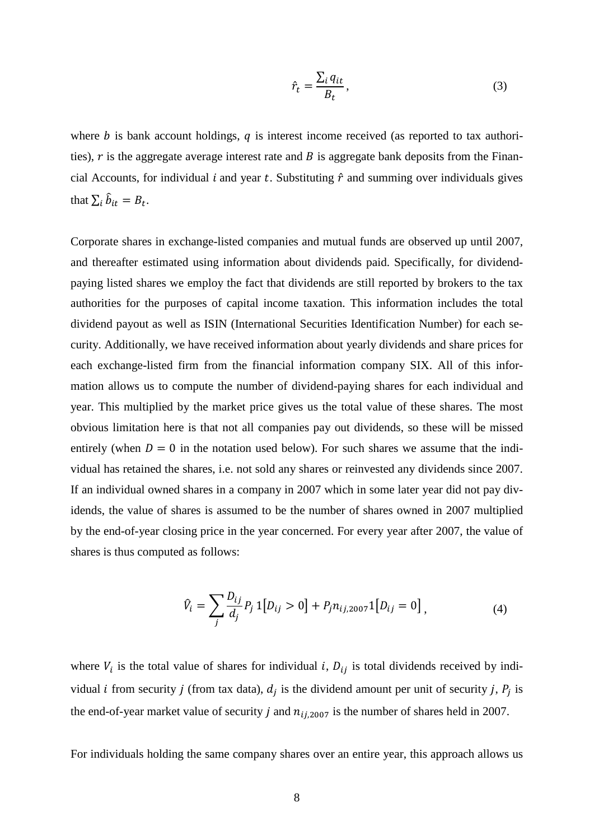$$
\hat{r}_t = \frac{\sum_i q_{it}}{B_t},\tag{3}
$$

where  $b$  is bank account holdings,  $q$  is interest income received (as reported to tax authorities),  $r$  is the aggregate average interest rate and  $B$  is aggregate bank deposits from the Financial Accounts, for individual *i* and year *t*. Substituting  $\hat{r}$  and summing over individuals gives that  $\sum_i \hat{b}_{it} = B_t$ .

Corporate shares in exchange-listed companies and mutual funds are observed up until 2007, and thereafter estimated using information about dividends paid. Specifically, for dividendpaying listed shares we employ the fact that dividends are still reported by brokers to the tax authorities for the purposes of capital income taxation. This information includes the total dividend payout as well as ISIN (International Securities Identification Number) for each security. Additionally, we have received information about yearly dividends and share prices for each exchange-listed firm from the financial information company SIX. All of this information allows us to compute the number of dividend-paying shares for each individual and year. This multiplied by the market price gives us the total value of these shares. The most obvious limitation here is that not all companies pay out dividends, so these will be missed entirely (when  $D = 0$  in the notation used below). For such shares we assume that the individual has retained the shares, i.e. not sold any shares or reinvested any dividends since 2007. If an individual owned shares in a company in 2007 which in some later year did not pay dividends, the value of shares is assumed to be the number of shares owned in 2007 multiplied by the end-of-year closing price in the year concerned. For every year after 2007, the value of shares is thus computed as follows:

$$
\hat{V}_i = \sum_j \frac{D_{ij}}{d_j} P_j \, 1[D_{ij} > 0] + P_j n_{ij,2007} 1[D_{ij} = 0],\tag{4}
$$

where  $V_i$  is the total value of shares for individual i,  $D_{ij}$  is total dividends received by individual *i* from security *j* (from tax data),  $d_i$  is the dividend amount per unit of security *j*,  $P_i$  is the end-of-year market value of security *j* and  $n_{ij,2007}$  is the number of shares held in 2007.

For individuals holding the same company shares over an entire year, this approach allows us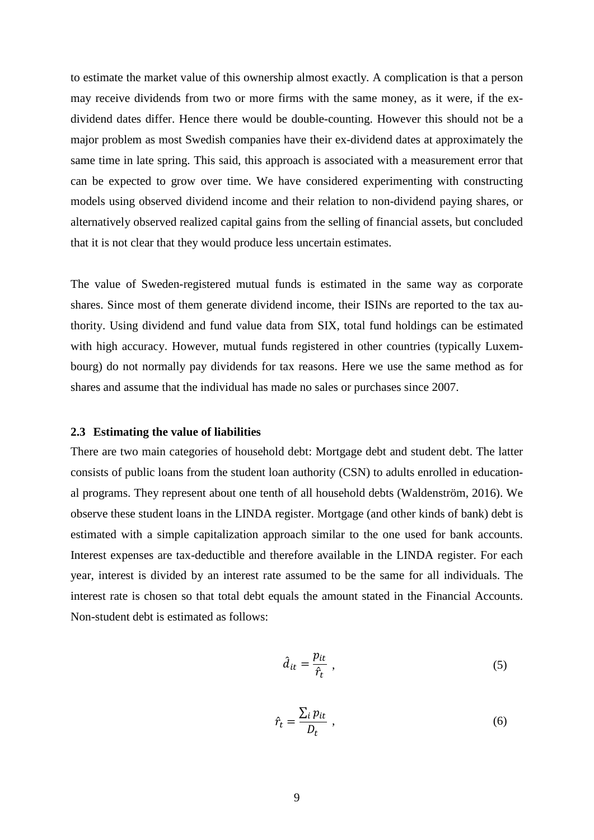to estimate the market value of this ownership almost exactly. A complication is that a person may receive dividends from two or more firms with the same money, as it were, if the exdividend dates differ. Hence there would be double-counting. However this should not be a major problem as most Swedish companies have their ex-dividend dates at approximately the same time in late spring. This said, this approach is associated with a measurement error that can be expected to grow over time. We have considered experimenting with constructing models using observed dividend income and their relation to non-dividend paying shares, or alternatively observed realized capital gains from the selling of financial assets, but concluded that it is not clear that they would produce less uncertain estimates.

The value of Sweden-registered mutual funds is estimated in the same way as corporate shares. Since most of them generate dividend income, their ISINs are reported to the tax authority. Using dividend and fund value data from SIX, total fund holdings can be estimated with high accuracy. However, mutual funds registered in other countries (typically Luxembourg) do not normally pay dividends for tax reasons. Here we use the same method as for shares and assume that the individual has made no sales or purchases since 2007.

#### **2.3 Estimating the value of liabilities**

There are two main categories of household debt: Mortgage debt and student debt. The latter consists of public loans from the student loan authority (CSN) to adults enrolled in educational programs. They represent about one tenth of all household debts (Waldenström, 2016). We observe these student loans in the LINDA register. Mortgage (and other kinds of bank) debt is estimated with a simple capitalization approach similar to the one used for bank accounts. Interest expenses are tax-deductible and therefore available in the LINDA register. For each year, interest is divided by an interest rate assumed to be the same for all individuals. The interest rate is chosen so that total debt equals the amount stated in the Financial Accounts. Non-student debt is estimated as follows:

$$
\hat{d}_{it} = \frac{p_{it}}{\hat{r}_t} \tag{5}
$$

$$
\hat{r}_t = \frac{\sum_i p_{it}}{D_t} \;, \tag{6}
$$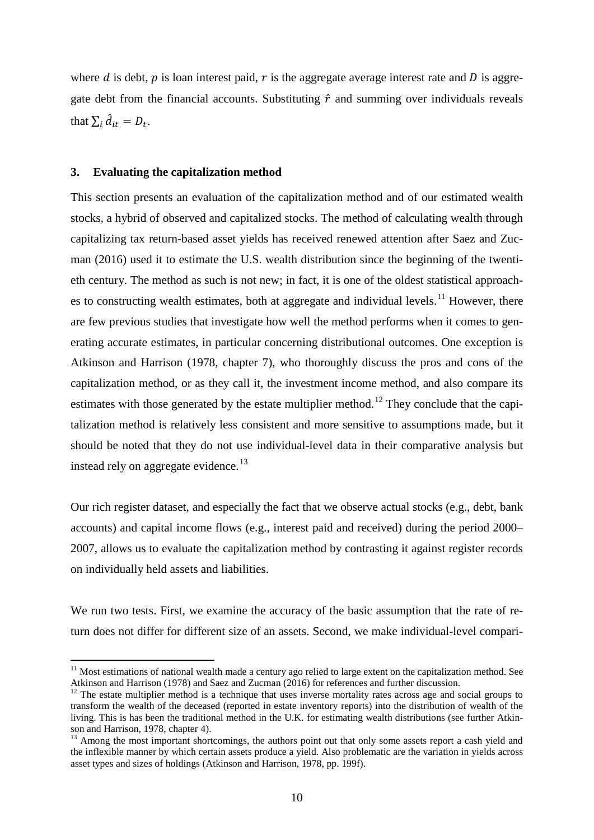where  $d$  is debt,  $p$  is loan interest paid,  $r$  is the aggregate average interest rate and  $D$  is aggregate debt from the financial accounts. Substituting  $\hat{r}$  and summing over individuals reveals that  $\sum_i \hat{d}_{it} = D_t$ .

#### **3. Evaluating the capitalization method**

 $\overline{a}$ 

This section presents an evaluation of the capitalization method and of our estimated wealth stocks, a hybrid of observed and capitalized stocks. The method of calculating wealth through capitalizing tax return-based asset yields has received renewed attention after Saez and Zucman (2016) used it to estimate the U.S. wealth distribution since the beginning of the twentieth century. The method as such is not new; in fact, it is one of the oldest statistical approach-es to constructing wealth estimates, both at aggregate and individual levels.<sup>[11](#page-12-0)</sup> However, there are few previous studies that investigate how well the method performs when it comes to generating accurate estimates, in particular concerning distributional outcomes. One exception is Atkinson and Harrison (1978, chapter 7), who thoroughly discuss the pros and cons of the capitalization method, or as they call it, the investment income method, and also compare its estimates with those generated by the estate multiplier method.<sup>[12](#page-12-1)</sup> They conclude that the capitalization method is relatively less consistent and more sensitive to assumptions made, but it should be noted that they do not use individual-level data in their comparative analysis but instead rely on aggregate evidence.<sup>[13](#page-12-2)</sup>

Our rich register dataset, and especially the fact that we observe actual stocks (e.g., debt, bank accounts) and capital income flows (e.g., interest paid and received) during the period 2000– 2007, allows us to evaluate the capitalization method by contrasting it against register records on individually held assets and liabilities.

We run two tests. First, we examine the accuracy of the basic assumption that the rate of return does not differ for different size of an assets. Second, we make individual-level compari-

<span id="page-12-0"></span> $11$  Most estimations of national wealth made a century ago relied to large extent on the capitalization method. See Atkinson and Harrison (1978) and Saez and Zucman (2016) for references and further discussion.

<span id="page-12-1"></span><sup>&</sup>lt;sup>12</sup> The estate multiplier method is a technique that uses inverse mortality rates across age and social groups to transform the wealth of the deceased (reported in estate inventory reports) into the distribution of wealth of the living. This is has been the traditional method in the U.K. for estimating wealth distributions (see further Atkinson and Harrison, 1978, chapter 4).

<span id="page-12-2"></span> $13$  Among the most important shortcomings, the authors point out that only some assets report a cash yield and the inflexible manner by which certain assets produce a yield. Also problematic are the variation in yields across asset types and sizes of holdings (Atkinson and Harrison, 1978, pp. 199f).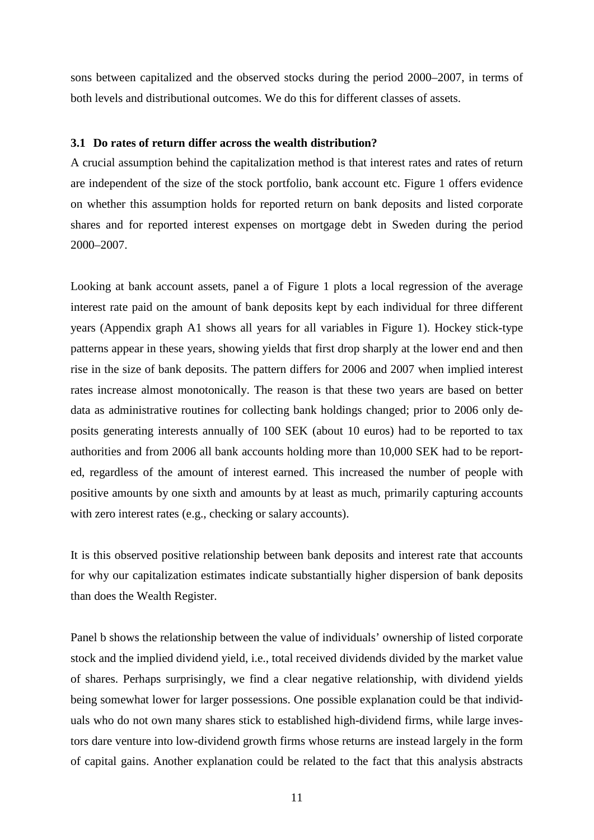sons between capitalized and the observed stocks during the period 2000–2007, in terms of both levels and distributional outcomes. We do this for different classes of assets.

#### **3.1 Do rates of return differ across the wealth distribution?**

A crucial assumption behind the capitalization method is that interest rates and rates of return are independent of the size of the stock portfolio, bank account etc. Figure 1 offers evidence on whether this assumption holds for reported return on bank deposits and listed corporate shares and for reported interest expenses on mortgage debt in Sweden during the period 2000–2007.

Looking at bank account assets, panel a of Figure 1 plots a local regression of the average interest rate paid on the amount of bank deposits kept by each individual for three different years (Appendix graph A1 shows all years for all variables in Figure 1). Hockey stick-type patterns appear in these years, showing yields that first drop sharply at the lower end and then rise in the size of bank deposits. The pattern differs for 2006 and 2007 when implied interest rates increase almost monotonically. The reason is that these two years are based on better data as administrative routines for collecting bank holdings changed; prior to 2006 only deposits generating interests annually of 100 SEK (about 10 euros) had to be reported to tax authorities and from 2006 all bank accounts holding more than 10,000 SEK had to be reported, regardless of the amount of interest earned. This increased the number of people with positive amounts by one sixth and amounts by at least as much, primarily capturing accounts with zero interest rates (e.g., checking or salary accounts).

It is this observed positive relationship between bank deposits and interest rate that accounts for why our capitalization estimates indicate substantially higher dispersion of bank deposits than does the Wealth Register.

Panel b shows the relationship between the value of individuals' ownership of listed corporate stock and the implied dividend yield, i.e., total received dividends divided by the market value of shares. Perhaps surprisingly, we find a clear negative relationship, with dividend yields being somewhat lower for larger possessions. One possible explanation could be that individuals who do not own many shares stick to established high-dividend firms, while large investors dare venture into low-dividend growth firms whose returns are instead largely in the form of capital gains. Another explanation could be related to the fact that this analysis abstracts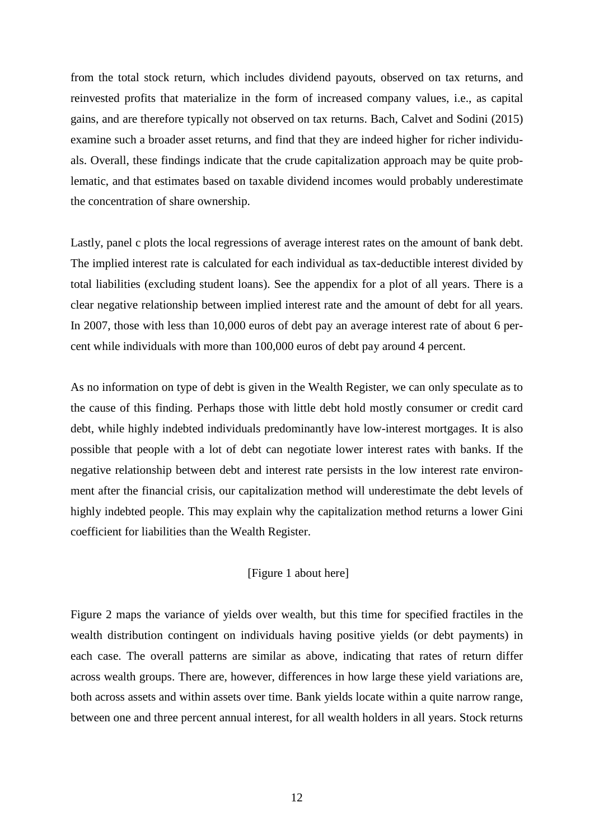from the total stock return, which includes dividend payouts, observed on tax returns, and reinvested profits that materialize in the form of increased company values, i.e., as capital gains, and are therefore typically not observed on tax returns. Bach, Calvet and Sodini (2015) examine such a broader asset returns, and find that they are indeed higher for richer individuals. Overall, these findings indicate that the crude capitalization approach may be quite problematic, and that estimates based on taxable dividend incomes would probably underestimate the concentration of share ownership.

Lastly, panel c plots the local regressions of average interest rates on the amount of bank debt. The implied interest rate is calculated for each individual as tax-deductible interest divided by total liabilities (excluding student loans). See the appendix for a plot of all years. There is a clear negative relationship between implied interest rate and the amount of debt for all years. In 2007, those with less than 10,000 euros of debt pay an average interest rate of about 6 percent while individuals with more than 100,000 euros of debt pay around 4 percent.

As no information on type of debt is given in the Wealth Register, we can only speculate as to the cause of this finding. Perhaps those with little debt hold mostly consumer or credit card debt, while highly indebted individuals predominantly have low-interest mortgages. It is also possible that people with a lot of debt can negotiate lower interest rates with banks. If the negative relationship between debt and interest rate persists in the low interest rate environment after the financial crisis, our capitalization method will underestimate the debt levels of highly indebted people. This may explain why the capitalization method returns a lower Gini coefficient for liabilities than the Wealth Register.

#### [Figure 1 about here]

Figure 2 maps the variance of yields over wealth, but this time for specified fractiles in the wealth distribution contingent on individuals having positive yields (or debt payments) in each case. The overall patterns are similar as above, indicating that rates of return differ across wealth groups. There are, however, differences in how large these yield variations are, both across assets and within assets over time. Bank yields locate within a quite narrow range, between one and three percent annual interest, for all wealth holders in all years. Stock returns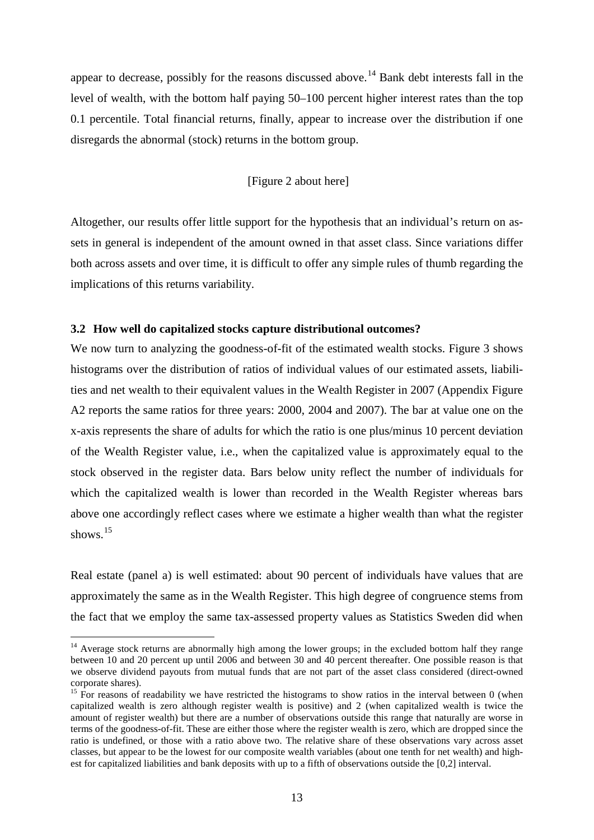appear to decrease, possibly for the reasons discussed above.<sup>[14](#page-15-0)</sup> Bank debt interests fall in the level of wealth, with the bottom half paying 50–100 percent higher interest rates than the top 0.1 percentile. Total financial returns, finally, appear to increase over the distribution if one disregards the abnormal (stock) returns in the bottom group.

#### [Figure 2 about here]

Altogether, our results offer little support for the hypothesis that an individual's return on assets in general is independent of the amount owned in that asset class. Since variations differ both across assets and over time, it is difficult to offer any simple rules of thumb regarding the implications of this returns variability.

#### **3.2 How well do capitalized stocks capture distributional outcomes?**

We now turn to analyzing the goodness-of-fit of the estimated wealth stocks. Figure 3 shows histograms over the distribution of ratios of individual values of our estimated assets, liabilities and net wealth to their equivalent values in the Wealth Register in 2007 (Appendix Figure A2 reports the same ratios for three years: 2000, 2004 and 2007). The bar at value one on the x-axis represents the share of adults for which the ratio is one plus/minus 10 percent deviation of the Wealth Register value, i.e., when the capitalized value is approximately equal to the stock observed in the register data. Bars below unity reflect the number of individuals for which the capitalized wealth is lower than recorded in the Wealth Register whereas bars above one accordingly reflect cases where we estimate a higher wealth than what the register shows.<sup>[15](#page-15-1)</sup>

Real estate (panel a) is well estimated: about 90 percent of individuals have values that are approximately the same as in the Wealth Register. This high degree of congruence stems from the fact that we employ the same tax-assessed property values as Statistics Sweden did when

 $\overline{a}$ 

<span id="page-15-0"></span><sup>&</sup>lt;sup>14</sup> Average stock returns are abnormally high among the lower groups; in the excluded bottom half they range between 10 and 20 percent up until 2006 and between 30 and 40 percent thereafter. One possible reason is that we observe dividend payouts from mutual funds that are not part of the asset class considered (direct-owned corporate shares).

<span id="page-15-1"></span><sup>&</sup>lt;sup>15</sup> For reasons of readability we have restricted the histograms to show ratios in the interval between 0 (when capitalized wealth is zero although register wealth is positive) and 2 (when capitalized wealth is twice the amount of register wealth) but there are a number of observations outside this range that naturally are worse in terms of the goodness-of-fit. These are either those where the register wealth is zero, which are dropped since the ratio is undefined, or those with a ratio above two. The relative share of these observations vary across asset classes, but appear to be the lowest for our composite wealth variables (about one tenth for net wealth) and highest for capitalized liabilities and bank deposits with up to a fifth of observations outside the [0,2] interval.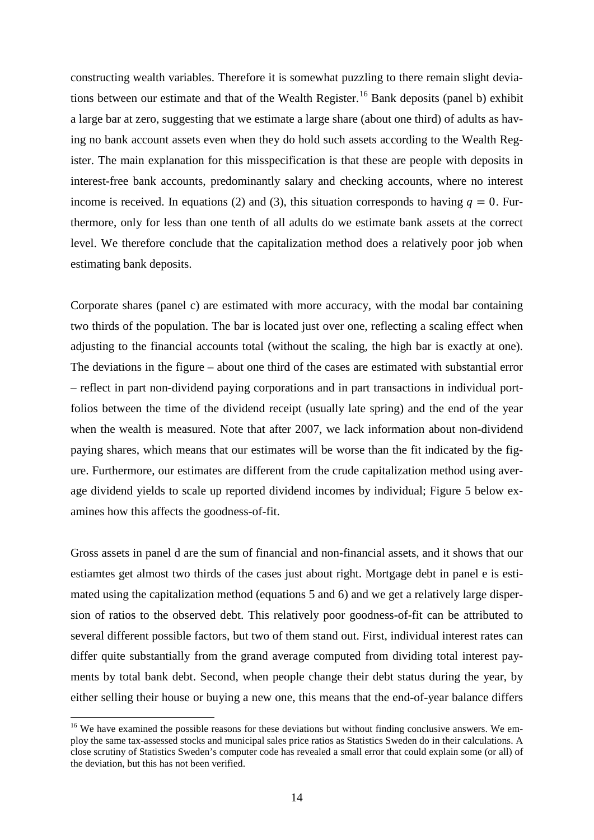constructing wealth variables. Therefore it is somewhat puzzling to there remain slight devia-tions between our estimate and that of the Wealth Register.<sup>[16](#page-16-0)</sup> Bank deposits (panel b) exhibit a large bar at zero, suggesting that we estimate a large share (about one third) of adults as having no bank account assets even when they do hold such assets according to the Wealth Register. The main explanation for this misspecification is that these are people with deposits in interest-free bank accounts, predominantly salary and checking accounts, where no interest income is received. In equations (2) and (3), this situation corresponds to having  $q = 0$ . Furthermore, only for less than one tenth of all adults do we estimate bank assets at the correct level. We therefore conclude that the capitalization method does a relatively poor job when estimating bank deposits.

Corporate shares (panel c) are estimated with more accuracy, with the modal bar containing two thirds of the population. The bar is located just over one, reflecting a scaling effect when adjusting to the financial accounts total (without the scaling, the high bar is exactly at one). The deviations in the figure – about one third of the cases are estimated with substantial error – reflect in part non-dividend paying corporations and in part transactions in individual portfolios between the time of the dividend receipt (usually late spring) and the end of the year when the wealth is measured. Note that after 2007, we lack information about non-dividend paying shares, which means that our estimates will be worse than the fit indicated by the figure. Furthermore, our estimates are different from the crude capitalization method using average dividend yields to scale up reported dividend incomes by individual; Figure 5 below examines how this affects the goodness-of-fit.

Gross assets in panel d are the sum of financial and non-financial assets, and it shows that our estiamtes get almost two thirds of the cases just about right. Mortgage debt in panel e is estimated using the capitalization method (equations 5 and 6) and we get a relatively large dispersion of ratios to the observed debt. This relatively poor goodness-of-fit can be attributed to several different possible factors, but two of them stand out. First, individual interest rates can differ quite substantially from the grand average computed from dividing total interest payments by total bank debt. Second, when people change their debt status during the year, by either selling their house or buying a new one, this means that the end-of-year balance differs

 $\overline{a}$ 

<span id="page-16-0"></span><sup>&</sup>lt;sup>16</sup> We have examined the possible reasons for these deviations but without finding conclusive answers. We employ the same tax-assessed stocks and municipal sales price ratios as Statistics Sweden do in their calculations. A close scrutiny of Statistics Sweden's computer code has revealed a small error that could explain some (or all) of the deviation, but this has not been verified.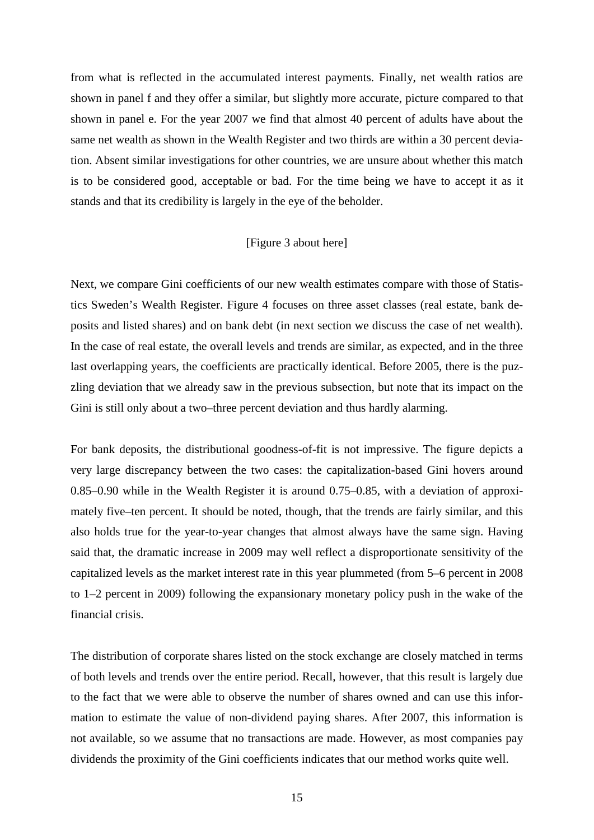from what is reflected in the accumulated interest payments. Finally, net wealth ratios are shown in panel f and they offer a similar, but slightly more accurate, picture compared to that shown in panel e. For the year 2007 we find that almost 40 percent of adults have about the same net wealth as shown in the Wealth Register and two thirds are within a 30 percent deviation. Absent similar investigations for other countries, we are unsure about whether this match is to be considered good, acceptable or bad. For the time being we have to accept it as it stands and that its credibility is largely in the eye of the beholder.

#### [Figure 3 about here]

Next, we compare Gini coefficients of our new wealth estimates compare with those of Statistics Sweden's Wealth Register. Figure 4 focuses on three asset classes (real estate, bank deposits and listed shares) and on bank debt (in next section we discuss the case of net wealth). In the case of real estate, the overall levels and trends are similar, as expected, and in the three last overlapping years, the coefficients are practically identical. Before 2005, there is the puzzling deviation that we already saw in the previous subsection, but note that its impact on the Gini is still only about a two–three percent deviation and thus hardly alarming.

For bank deposits, the distributional goodness-of-fit is not impressive. The figure depicts a very large discrepancy between the two cases: the capitalization-based Gini hovers around 0.85–0.90 while in the Wealth Register it is around 0.75–0.85, with a deviation of approximately five–ten percent. It should be noted, though, that the trends are fairly similar, and this also holds true for the year-to-year changes that almost always have the same sign. Having said that, the dramatic increase in 2009 may well reflect a disproportionate sensitivity of the capitalized levels as the market interest rate in this year plummeted (from 5–6 percent in 2008 to 1–2 percent in 2009) following the expansionary monetary policy push in the wake of the financial crisis.

The distribution of corporate shares listed on the stock exchange are closely matched in terms of both levels and trends over the entire period. Recall, however, that this result is largely due to the fact that we were able to observe the number of shares owned and can use this information to estimate the value of non-dividend paying shares. After 2007, this information is not available, so we assume that no transactions are made. However, as most companies pay dividends the proximity of the Gini coefficients indicates that our method works quite well.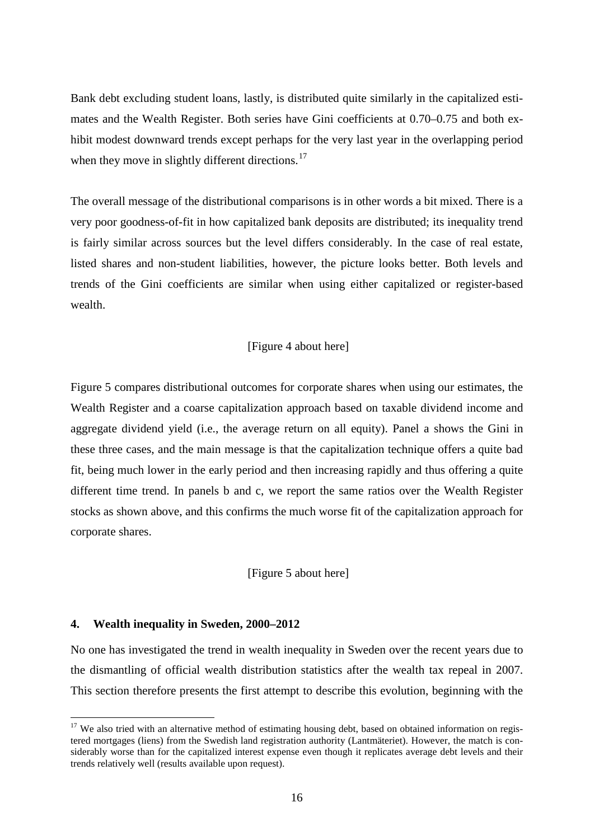Bank debt excluding student loans, lastly, is distributed quite similarly in the capitalized estimates and the Wealth Register. Both series have Gini coefficients at 0.70–0.75 and both exhibit modest downward trends except perhaps for the very last year in the overlapping period when they move in slightly different directions.<sup>[17](#page-18-0)</sup>

The overall message of the distributional comparisons is in other words a bit mixed. There is a very poor goodness-of-fit in how capitalized bank deposits are distributed; its inequality trend is fairly similar across sources but the level differs considerably. In the case of real estate, listed shares and non-student liabilities, however, the picture looks better. Both levels and trends of the Gini coefficients are similar when using either capitalized or register-based wealth.

#### [Figure 4 about here]

Figure 5 compares distributional outcomes for corporate shares when using our estimates, the Wealth Register and a coarse capitalization approach based on taxable dividend income and aggregate dividend yield (i.e., the average return on all equity). Panel a shows the Gini in these three cases, and the main message is that the capitalization technique offers a quite bad fit, being much lower in the early period and then increasing rapidly and thus offering a quite different time trend. In panels b and c, we report the same ratios over the Wealth Register stocks as shown above, and this confirms the much worse fit of the capitalization approach for corporate shares.

#### [Figure 5 about here]

#### **4. Wealth inequality in Sweden, 2000–2012**

 $\overline{a}$ 

No one has investigated the trend in wealth inequality in Sweden over the recent years due to the dismantling of official wealth distribution statistics after the wealth tax repeal in 2007. This section therefore presents the first attempt to describe this evolution, beginning with the

<span id="page-18-0"></span> $17$  We also tried with an alternative method of estimating housing debt, based on obtained information on registered mortgages (liens) from the Swedish land registration authority (Lantmäteriet). However, the match is considerably worse than for the capitalized interest expense even though it replicates average debt levels and their trends relatively well (results available upon request).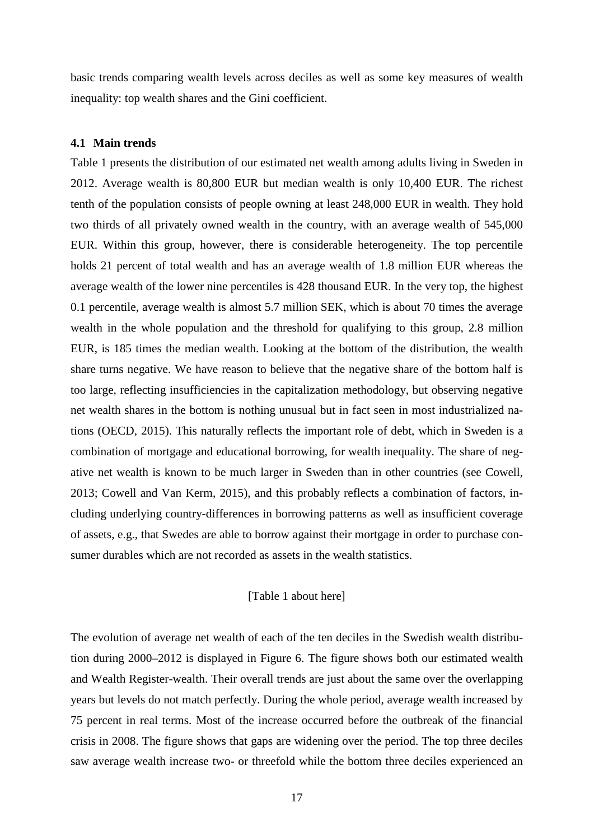basic trends comparing wealth levels across deciles as well as some key measures of wealth inequality: top wealth shares and the Gini coefficient.

#### **4.1 Main trends**

Table 1 presents the distribution of our estimated net wealth among adults living in Sweden in 2012. Average wealth is 80,800 EUR but median wealth is only 10,400 EUR. The richest tenth of the population consists of people owning at least 248,000 EUR in wealth. They hold two thirds of all privately owned wealth in the country, with an average wealth of 545,000 EUR. Within this group, however, there is considerable heterogeneity. The top percentile holds 21 percent of total wealth and has an average wealth of 1.8 million EUR whereas the average wealth of the lower nine percentiles is 428 thousand EUR. In the very top, the highest 0.1 percentile, average wealth is almost 5.7 million SEK, which is about 70 times the average wealth in the whole population and the threshold for qualifying to this group, 2.8 million EUR, is 185 times the median wealth. Looking at the bottom of the distribution, the wealth share turns negative. We have reason to believe that the negative share of the bottom half is too large, reflecting insufficiencies in the capitalization methodology, but observing negative net wealth shares in the bottom is nothing unusual but in fact seen in most industrialized nations (OECD, 2015). This naturally reflects the important role of debt, which in Sweden is a combination of mortgage and educational borrowing, for wealth inequality. The share of negative net wealth is known to be much larger in Sweden than in other countries (see Cowell, 2013; Cowell and Van Kerm, 2015), and this probably reflects a combination of factors, including underlying country-differences in borrowing patterns as well as insufficient coverage of assets, e.g., that Swedes are able to borrow against their mortgage in order to purchase consumer durables which are not recorded as assets in the wealth statistics.

#### [Table 1 about here]

The evolution of average net wealth of each of the ten deciles in the Swedish wealth distribution during 2000–2012 is displayed in Figure 6. The figure shows both our estimated wealth and Wealth Register-wealth. Their overall trends are just about the same over the overlapping years but levels do not match perfectly. During the whole period, average wealth increased by 75 percent in real terms. Most of the increase occurred before the outbreak of the financial crisis in 2008. The figure shows that gaps are widening over the period. The top three deciles saw average wealth increase two- or threefold while the bottom three deciles experienced an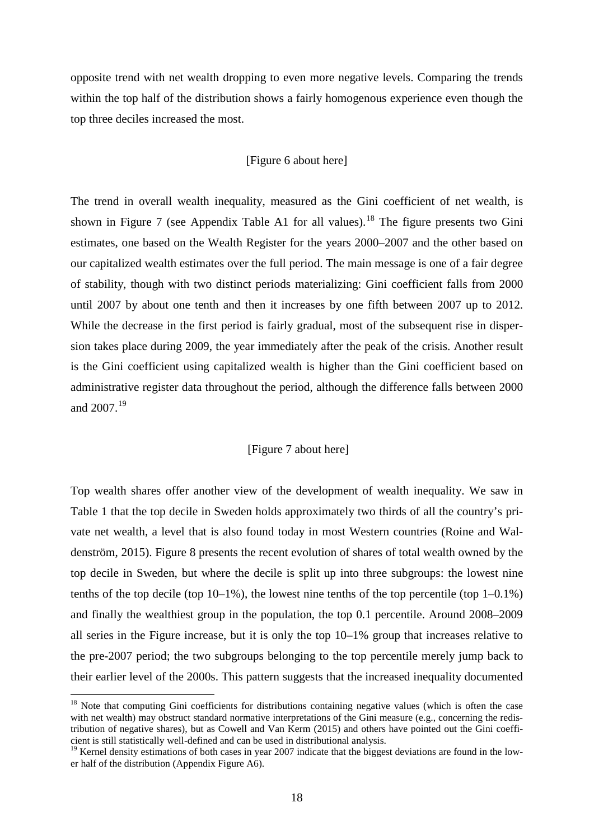opposite trend with net wealth dropping to even more negative levels. Comparing the trends within the top half of the distribution shows a fairly homogenous experience even though the top three deciles increased the most.

#### [Figure 6 about here]

The trend in overall wealth inequality, measured as the Gini coefficient of net wealth, is shown in Figure 7 (see Appendix Table A1 for all values).<sup>[18](#page-20-0)</sup> The figure presents two Gini estimates, one based on the Wealth Register for the years 2000–2007 and the other based on our capitalized wealth estimates over the full period. The main message is one of a fair degree of stability, though with two distinct periods materializing: Gini coefficient falls from 2000 until 2007 by about one tenth and then it increases by one fifth between 2007 up to 2012. While the decrease in the first period is fairly gradual, most of the subsequent rise in dispersion takes place during 2009, the year immediately after the peak of the crisis. Another result is the Gini coefficient using capitalized wealth is higher than the Gini coefficient based on administrative register data throughout the period, although the difference falls between 2000 and 2007. [19](#page-20-1)

#### [Figure 7 about here]

Top wealth shares offer another view of the development of wealth inequality. We saw in Table 1 that the top decile in Sweden holds approximately two thirds of all the country's private net wealth, a level that is also found today in most Western countries (Roine and Waldenström, 2015). Figure 8 presents the recent evolution of shares of total wealth owned by the top decile in Sweden, but where the decile is split up into three subgroups: the lowest nine tenths of the top decile (top 10–1%), the lowest nine tenths of the top percentile (top 1–0.1%) and finally the wealthiest group in the population, the top 0.1 percentile. Around 2008–2009 all series in the Figure increase, but it is only the top  $10-1%$  group that increases relative to the pre-2007 period; the two subgroups belonging to the top percentile merely jump back to their earlier level of the 2000s. This pattern suggests that the increased inequality documented

 $\overline{a}$ 

<span id="page-20-0"></span><sup>&</sup>lt;sup>18</sup> Note that computing Gini coefficients for distributions containing negative values (which is often the case with net wealth) may obstruct standard normative interpretations of the Gini measure (e.g., concerning the redistribution of negative shares), but as Cowell and Van Kerm (2015) and others have pointed out the Gini coefficient is still statistically well-defined and can be used in distributional analysis.

<span id="page-20-1"></span> $19$  Kernel density estimations of both cases in year 2007 indicate that the biggest deviations are found in the lower half of the distribution (Appendix Figure A6).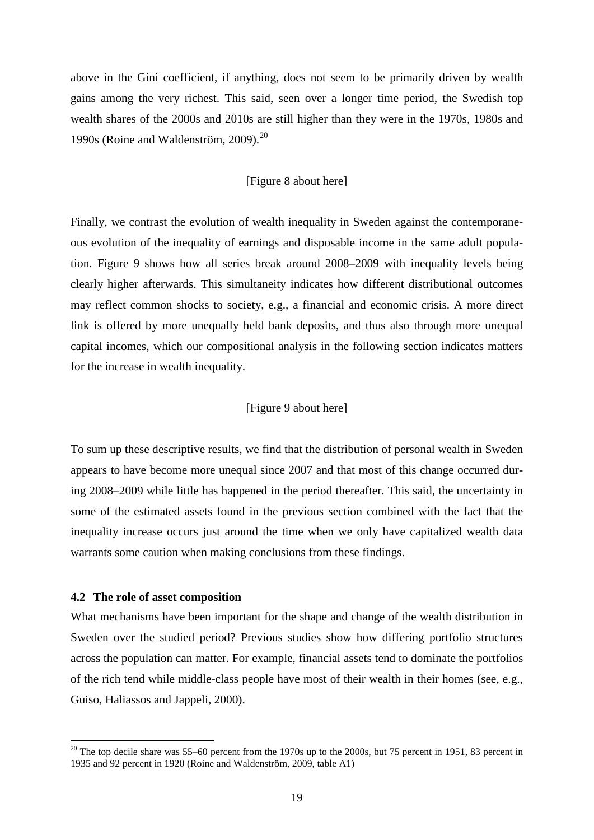above in the Gini coefficient, if anything, does not seem to be primarily driven by wealth gains among the very richest. This said, seen over a longer time period, the Swedish top wealth shares of the 2000s and 2010s are still higher than they were in the 1970s, 1980s and 1990s (Roine and Waldenström, 2009). [20](#page-21-0)

#### [Figure 8 about here]

Finally, we contrast the evolution of wealth inequality in Sweden against the contemporaneous evolution of the inequality of earnings and disposable income in the same adult population. Figure 9 shows how all series break around 2008–2009 with inequality levels being clearly higher afterwards. This simultaneity indicates how different distributional outcomes may reflect common shocks to society, e.g., a financial and economic crisis. A more direct link is offered by more unequally held bank deposits, and thus also through more unequal capital incomes, which our compositional analysis in the following section indicates matters for the increase in wealth inequality.

#### [Figure 9 about here]

To sum up these descriptive results, we find that the distribution of personal wealth in Sweden appears to have become more unequal since 2007 and that most of this change occurred during 2008–2009 while little has happened in the period thereafter. This said, the uncertainty in some of the estimated assets found in the previous section combined with the fact that the inequality increase occurs just around the time when we only have capitalized wealth data warrants some caution when making conclusions from these findings.

#### **4.2 The role of asset composition**

 $\overline{a}$ 

What mechanisms have been important for the shape and change of the wealth distribution in Sweden over the studied period? Previous studies show how differing portfolio structures across the population can matter. For example, financial assets tend to dominate the portfolios of the rich tend while middle-class people have most of their wealth in their homes (see, e.g., Guiso, Haliassos and Jappeli, 2000).

<span id="page-21-0"></span> $20$  The top decile share was 55–60 percent from the 1970s up to the 2000s, but 75 percent in 1951, 83 percent in 1935 and 92 percent in 1920 (Roine and Waldenström, 2009, table A1)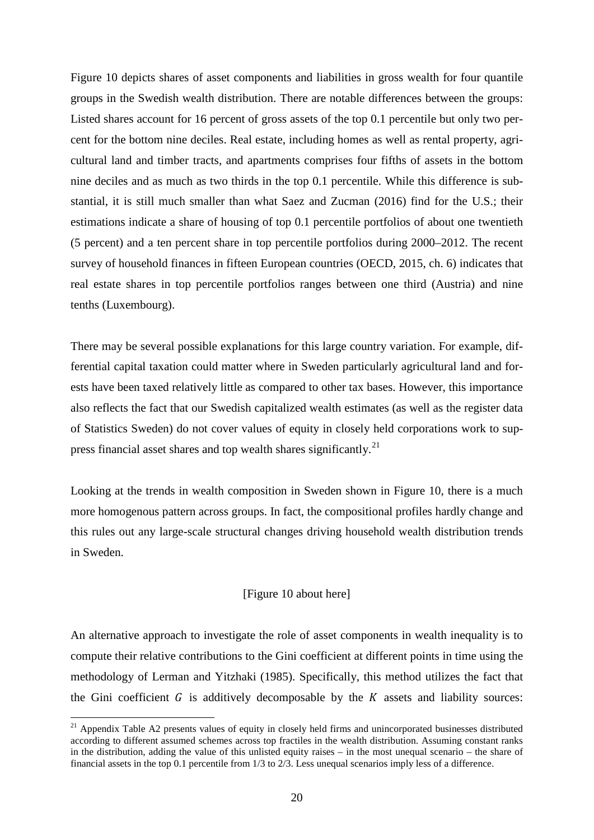Figure 10 depicts shares of asset components and liabilities in gross wealth for four quantile groups in the Swedish wealth distribution. There are notable differences between the groups: Listed shares account for 16 percent of gross assets of the top 0.1 percentile but only two percent for the bottom nine deciles. Real estate, including homes as well as rental property, agricultural land and timber tracts, and apartments comprises four fifths of assets in the bottom nine deciles and as much as two thirds in the top 0.1 percentile. While this difference is substantial, it is still much smaller than what Saez and Zucman (2016) find for the U.S.; their estimations indicate a share of housing of top 0.1 percentile portfolios of about one twentieth (5 percent) and a ten percent share in top percentile portfolios during 2000–2012. The recent survey of household finances in fifteen European countries (OECD, 2015, ch. 6) indicates that real estate shares in top percentile portfolios ranges between one third (Austria) and nine tenths (Luxembourg).

There may be several possible explanations for this large country variation. For example, differential capital taxation could matter where in Sweden particularly agricultural land and forests have been taxed relatively little as compared to other tax bases. However, this importance also reflects the fact that our Swedish capitalized wealth estimates (as well as the register data of Statistics Sweden) do not cover values of equity in closely held corporations work to sup-press financial asset shares and top wealth shares significantly.<sup>[21](#page-22-0)</sup>

Looking at the trends in wealth composition in Sweden shown in Figure 10, there is a much more homogenous pattern across groups. In fact, the compositional profiles hardly change and this rules out any large-scale structural changes driving household wealth distribution trends in Sweden.

#### [Figure 10 about here]

An alternative approach to investigate the role of asset components in wealth inequality is to compute their relative contributions to the Gini coefficient at different points in time using the methodology of Lerman and Yitzhaki (1985). Specifically, this method utilizes the fact that the Gini coefficient  $G$  is additively decomposable by the  $K$  assets and liability sources:

 $\overline{a}$ 

<span id="page-22-0"></span><sup>&</sup>lt;sup>21</sup> Appendix Table A2 presents values of equity in closely held firms and unincorporated businesses distributed according to different assumed schemes across top fractiles in the wealth distribution. Assuming constant ranks in the distribution, adding the value of this unlisted equity raises – in the most unequal scenario – the share of financial assets in the top 0.1 percentile from 1/3 to 2/3. Less unequal scenarios imply less of a difference.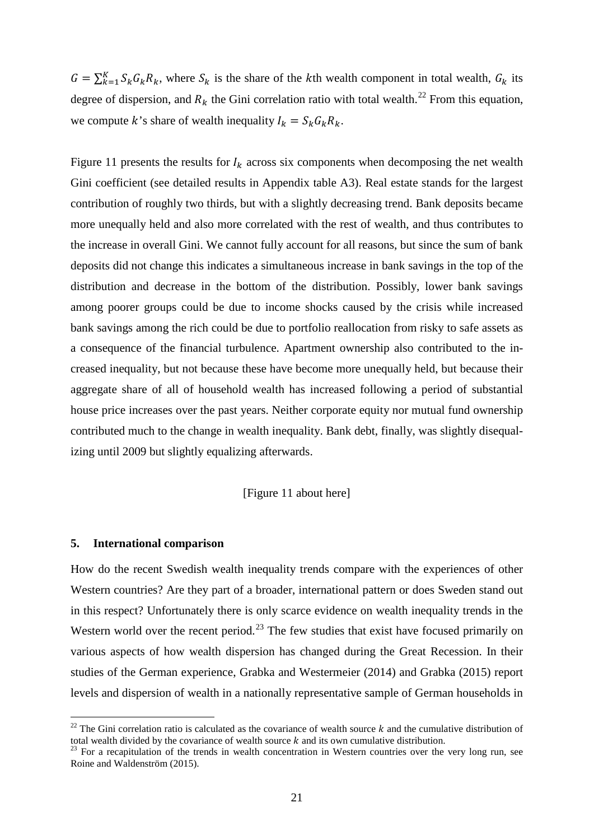$G = \sum_{k=1}^{K} S_k G_k R_k$ , where  $S_k$  is the share of the kth wealth component in total wealth,  $G_k$  its degree of dispersion, and  $R_k$  the Gini correlation ratio with total wealth.<sup>[22](#page-23-0)</sup> From this equation, we compute k's share of wealth inequality  $I_k = S_k G_k R_k$ .

Figure 11 presents the results for  $I_k$  across six components when decomposing the net wealth Gini coefficient (see detailed results in Appendix table A3). Real estate stands for the largest contribution of roughly two thirds, but with a slightly decreasing trend. Bank deposits became more unequally held and also more correlated with the rest of wealth, and thus contributes to the increase in overall Gini. We cannot fully account for all reasons, but since the sum of bank deposits did not change this indicates a simultaneous increase in bank savings in the top of the distribution and decrease in the bottom of the distribution. Possibly, lower bank savings among poorer groups could be due to income shocks caused by the crisis while increased bank savings among the rich could be due to portfolio reallocation from risky to safe assets as a consequence of the financial turbulence. Apartment ownership also contributed to the increased inequality, but not because these have become more unequally held, but because their aggregate share of all of household wealth has increased following a period of substantial house price increases over the past years. Neither corporate equity nor mutual fund ownership contributed much to the change in wealth inequality. Bank debt, finally, was slightly disequalizing until 2009 but slightly equalizing afterwards.

#### [Figure 11 about here]

#### **5. International comparison**

 $\overline{a}$ 

How do the recent Swedish wealth inequality trends compare with the experiences of other Western countries? Are they part of a broader, international pattern or does Sweden stand out in this respect? Unfortunately there is only scarce evidence on wealth inequality trends in the Western world over the recent period.<sup>[23](#page-23-1)</sup> The few studies that exist have focused primarily on various aspects of how wealth dispersion has changed during the Great Recession. In their studies of the German experience, Grabka and Westermeier (2014) and Grabka (2015) report levels and dispersion of wealth in a nationally representative sample of German households in

<span id="page-23-0"></span><sup>&</sup>lt;sup>22</sup> The Gini correlation ratio is calculated as the covariance of wealth source  $k$  and the cumulative distribution of total wealth divided by the covariance of wealth source  $k$  and its own cumulative distribution.<br><sup>23</sup> For a recapitulation of the trends in wealth concentration in Western countries over the very long run, see

<span id="page-23-1"></span>Roine and Waldenström (2015).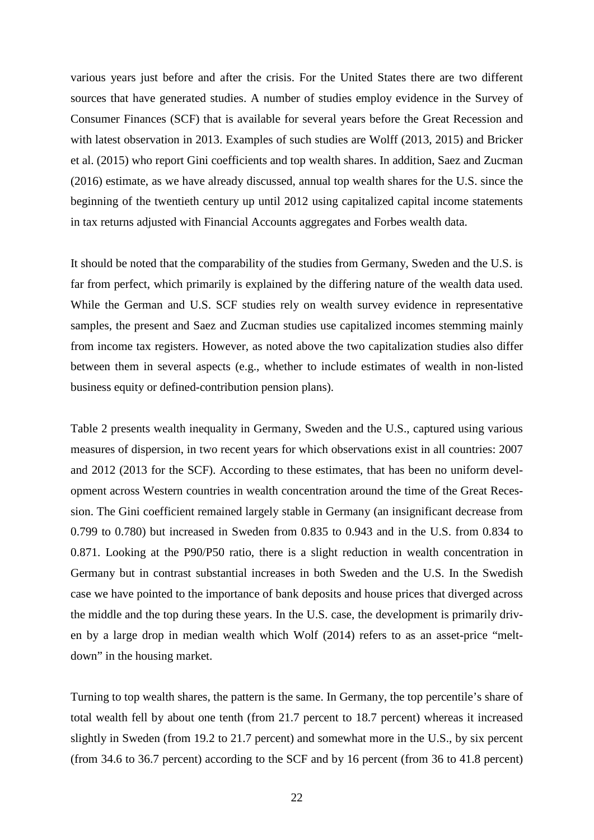various years just before and after the crisis. For the United States there are two different sources that have generated studies. A number of studies employ evidence in the Survey of Consumer Finances (SCF) that is available for several years before the Great Recession and with latest observation in 2013. Examples of such studies are Wolff (2013, 2015) and Bricker et al. (2015) who report Gini coefficients and top wealth shares. In addition, Saez and Zucman (2016) estimate, as we have already discussed, annual top wealth shares for the U.S. since the beginning of the twentieth century up until 2012 using capitalized capital income statements in tax returns adjusted with Financial Accounts aggregates and Forbes wealth data.

It should be noted that the comparability of the studies from Germany, Sweden and the U.S. is far from perfect, which primarily is explained by the differing nature of the wealth data used. While the German and U.S. SCF studies rely on wealth survey evidence in representative samples, the present and Saez and Zucman studies use capitalized incomes stemming mainly from income tax registers. However, as noted above the two capitalization studies also differ between them in several aspects (e.g., whether to include estimates of wealth in non-listed business equity or defined-contribution pension plans).

Table 2 presents wealth inequality in Germany, Sweden and the U.S., captured using various measures of dispersion, in two recent years for which observations exist in all countries: 2007 and 2012 (2013 for the SCF). According to these estimates, that has been no uniform development across Western countries in wealth concentration around the time of the Great Recession. The Gini coefficient remained largely stable in Germany (an insignificant decrease from 0.799 to 0.780) but increased in Sweden from 0.835 to 0.943 and in the U.S. from 0.834 to 0.871. Looking at the P90/P50 ratio, there is a slight reduction in wealth concentration in Germany but in contrast substantial increases in both Sweden and the U.S. In the Swedish case we have pointed to the importance of bank deposits and house prices that diverged across the middle and the top during these years. In the U.S. case, the development is primarily driven by a large drop in median wealth which Wolf (2014) refers to as an asset-price "meltdown" in the housing market.

Turning to top wealth shares, the pattern is the same. In Germany, the top percentile's share of total wealth fell by about one tenth (from 21.7 percent to 18.7 percent) whereas it increased slightly in Sweden (from 19.2 to 21.7 percent) and somewhat more in the U.S., by six percent (from 34.6 to 36.7 percent) according to the SCF and by 16 percent (from 36 to 41.8 percent)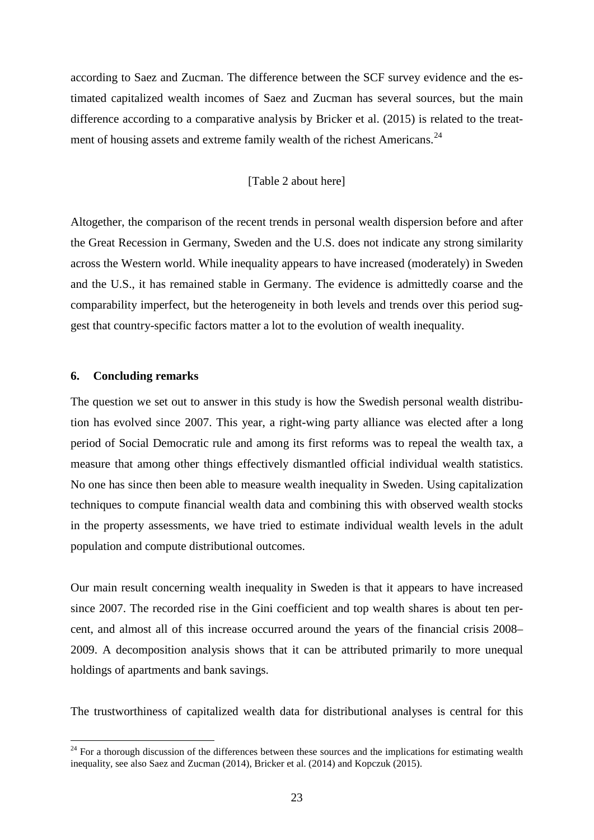according to Saez and Zucman. The difference between the SCF survey evidence and the estimated capitalized wealth incomes of Saez and Zucman has several sources, but the main difference according to a comparative analysis by Bricker et al. (2015) is related to the treat-ment of housing assets and extreme family wealth of the richest Americans.<sup>[24](#page-25-0)</sup>

#### [Table 2 about here]

Altogether, the comparison of the recent trends in personal wealth dispersion before and after the Great Recession in Germany, Sweden and the U.S. does not indicate any strong similarity across the Western world. While inequality appears to have increased (moderately) in Sweden and the U.S., it has remained stable in Germany. The evidence is admittedly coarse and the comparability imperfect, but the heterogeneity in both levels and trends over this period suggest that country-specific factors matter a lot to the evolution of wealth inequality.

#### **6. Concluding remarks**

 $\overline{a}$ 

The question we set out to answer in this study is how the Swedish personal wealth distribution has evolved since 2007. This year, a right-wing party alliance was elected after a long period of Social Democratic rule and among its first reforms was to repeal the wealth tax, a measure that among other things effectively dismantled official individual wealth statistics. No one has since then been able to measure wealth inequality in Sweden. Using capitalization techniques to compute financial wealth data and combining this with observed wealth stocks in the property assessments, we have tried to estimate individual wealth levels in the adult population and compute distributional outcomes.

Our main result concerning wealth inequality in Sweden is that it appears to have increased since 2007. The recorded rise in the Gini coefficient and top wealth shares is about ten percent, and almost all of this increase occurred around the years of the financial crisis 2008– 2009. A decomposition analysis shows that it can be attributed primarily to more unequal holdings of apartments and bank savings.

The trustworthiness of capitalized wealth data for distributional analyses is central for this

<span id="page-25-0"></span> $24$  For a thorough discussion of the differences between these sources and the implications for estimating wealth inequality, see also Saez and Zucman (2014), Bricker et al. (2014) and Kopczuk (2015).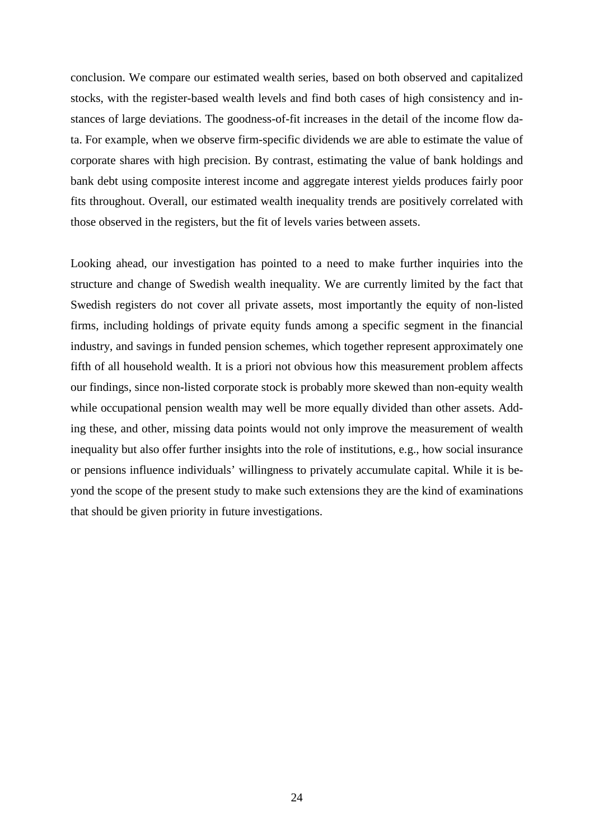conclusion. We compare our estimated wealth series, based on both observed and capitalized stocks, with the register-based wealth levels and find both cases of high consistency and instances of large deviations. The goodness-of-fit increases in the detail of the income flow data. For example, when we observe firm-specific dividends we are able to estimate the value of corporate shares with high precision. By contrast, estimating the value of bank holdings and bank debt using composite interest income and aggregate interest yields produces fairly poor fits throughout. Overall, our estimated wealth inequality trends are positively correlated with those observed in the registers, but the fit of levels varies between assets.

Looking ahead, our investigation has pointed to a need to make further inquiries into the structure and change of Swedish wealth inequality. We are currently limited by the fact that Swedish registers do not cover all private assets, most importantly the equity of non-listed firms, including holdings of private equity funds among a specific segment in the financial industry, and savings in funded pension schemes, which together represent approximately one fifth of all household wealth. It is a priori not obvious how this measurement problem affects our findings, since non-listed corporate stock is probably more skewed than non-equity wealth while occupational pension wealth may well be more equally divided than other assets. Adding these, and other, missing data points would not only improve the measurement of wealth inequality but also offer further insights into the role of institutions, e.g., how social insurance or pensions influence individuals' willingness to privately accumulate capital. While it is beyond the scope of the present study to make such extensions they are the kind of examinations that should be given priority in future investigations.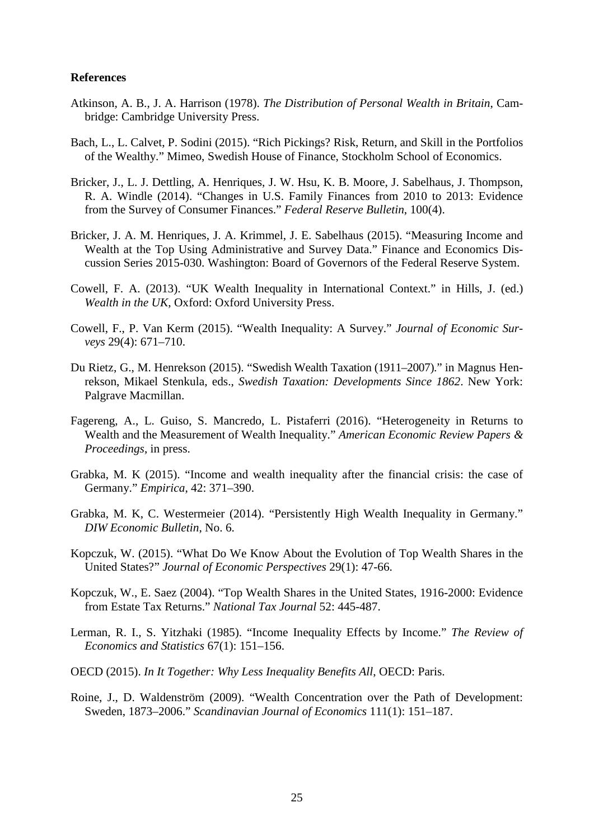#### **References**

- Atkinson, A. B., J. A. Harrison (1978). *The Distribution of Personal Wealth in Britain*, Cambridge: Cambridge University Press.
- Bach, L., L. Calvet, P. Sodini (2015). "Rich Pickings? Risk, Return, and Skill in the Portfolios of the Wealthy." Mimeo, Swedish House of Finance, Stockholm School of Economics.
- Bricker, J., L. J. Dettling, A. Henriques, J. W. Hsu, K. B. Moore, J. Sabelhaus, J. Thompson, R. A. Windle (2014). "Changes in U.S. Family Finances from 2010 to 2013: Evidence from the Survey of Consumer Finances." *Federal Reserve Bulletin*, 100(4).
- Bricker, J. A. M. Henriques, J. A. Krimmel, J. E. Sabelhaus (2015). "Measuring Income and Wealth at the Top Using Administrative and Survey Data." Finance and Economics Discussion Series 2015-030. Washington: Board of Governors of the Federal Reserve System.
- Cowell, F. A. (2013). "UK Wealth Inequality in International Context." in Hills, J. (ed.) *Wealth in the UK*, Oxford: Oxford University Press.
- Cowell, F., P. Van Kerm (2015). "Wealth Inequality: A Survey." *Journal of Economic Surveys* 29(4): 671–710.
- Du Rietz, G., M. Henrekson (2015). "Swedish Wealth Taxation (1911–2007)." in Magnus Henrekson, Mikael Stenkula, eds., *Swedish Taxation: Developments Since 1862*. New York: Palgrave Macmillan.
- Fagereng, A., L. Guiso, S. Mancredo, L. Pistaferri (2016). "Heterogeneity in Returns to Wealth and the Measurement of Wealth Inequality." *American Economic Review Papers & Proceedings*, in press.
- Grabka, M. K (2015). "Income and wealth inequality after the financial crisis: the case of Germany." *Empirica*, 42: 371–390.
- Grabka, M. K, C. Westermeier (2014). "Persistently High Wealth Inequality in Germany." *DIW Economic Bulletin*, No. 6.
- Kopczuk, W. (2015). "What Do We Know About the Evolution of Top Wealth Shares in the United States?" *Journal of Economic Perspectives* 29(1): 47-66.
- Kopczuk, W., E. Saez (2004). "Top Wealth Shares in the United States, 1916-2000: Evidence from Estate Tax Returns." *National Tax Journal* 52: 445-487.
- Lerman, R. I., S. Yitzhaki (1985). "Income Inequality Effects by Income." *The Review of Economics and Statistics* 67(1): 151–156.
- OECD (2015). *In It Together: Why Less Inequality Benefits All*, OECD: Paris.
- Roine, J., D. Waldenström (2009). "Wealth Concentration over the Path of Development: Sweden, 1873–2006." *Scandinavian Journal of Economics* 111(1): 151–187.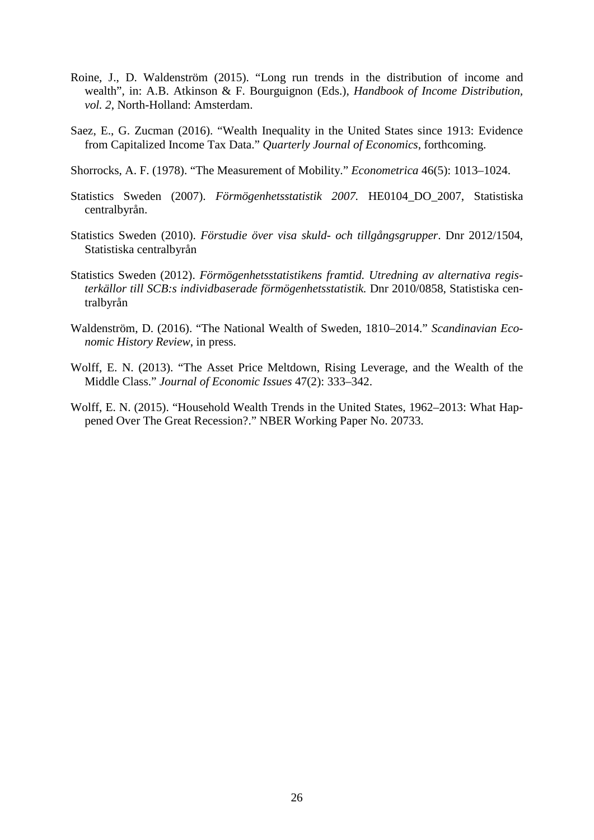- Roine, J., D. Waldenström (2015). "Long run trends in the distribution of income and wealth", in: A.B. Atkinson & F. Bourguignon (Eds.), *Handbook of Income Distribution, vol. 2*, North-Holland: Amsterdam.
- Saez, E., G. Zucman (2016). "Wealth Inequality in the United States since 1913: Evidence from Capitalized Income Tax Data." *Quarterly Journal of Economics*, forthcoming.
- Shorrocks, A. F. (1978). "The Measurement of Mobility." *Econometrica* 46(5): 1013–1024.
- Statistics Sweden (2007). *Förmögenhetsstatistik 2007.* HE0104\_DO\_2007, Statistiska centralbyrån.
- Statistics Sweden (2010). *Förstudie över visa skuld- och tillgångsgrupper*. Dnr 2012/1504, Statistiska centralbyrån
- Statistics Sweden (2012). *Förmögenhetsstatistikens framtid. Utredning av alternativa registerkällor till SCB:s individbaserade förmögenhetsstatistik.* Dnr 2010/0858, Statistiska centralbyrån
- Waldenström, D. (2016). "The National Wealth of Sweden, 1810–2014." *Scandinavian Economic History Review*, in press.
- Wolff, E. N. (2013). "The Asset Price Meltdown, Rising Leverage, and the Wealth of the Middle Class." *Journal of Economic Issues* 47(2): 333–342.
- Wolff, E. N. (2015). "Household Wealth Trends in the United States, 1962–2013: What Happened Over The Great Recession?." NBER Working Paper No. 20733.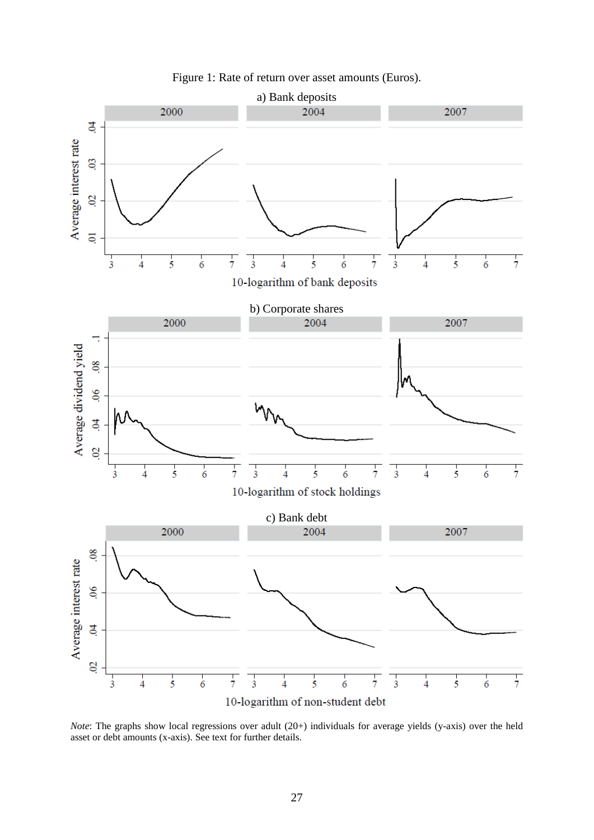



*Note*: The graphs show local regressions over adult (20+) individuals for average yields (y-axis) over the held asset or debt amounts (x-axis). See text for further details.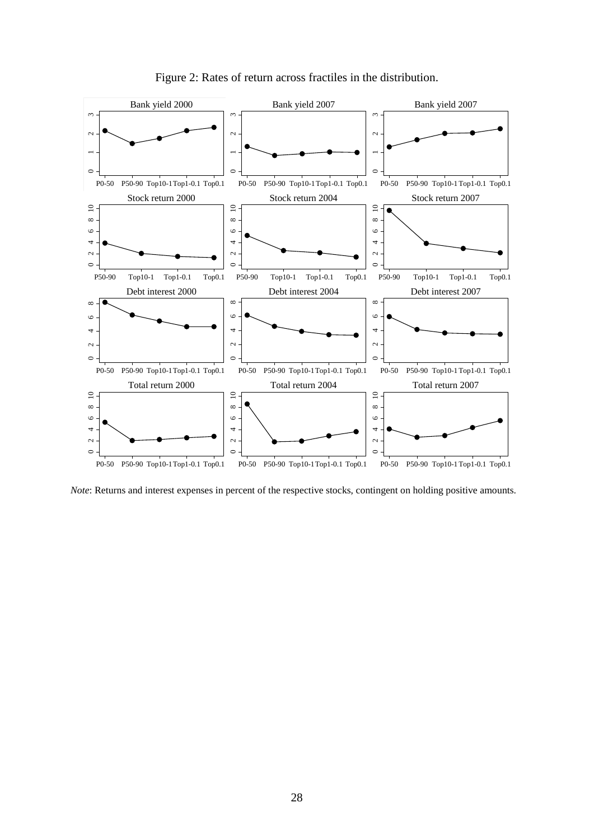

Figure 2: Rates of return across fractiles in the distribution.

*Note*: Returns and interest expenses in percent of the respective stocks, contingent on holding positive amounts.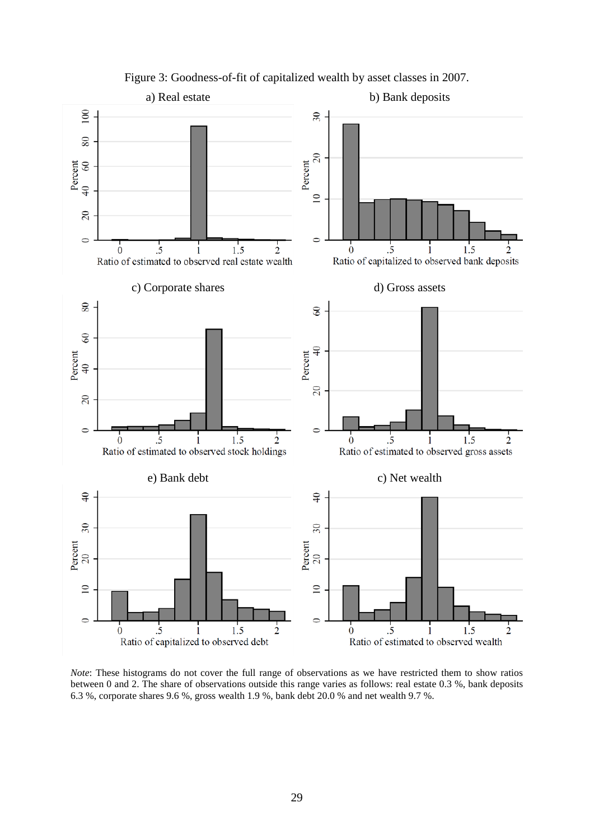

Figure 3: Goodness-of-fit of capitalized wealth by asset classes in 2007.

*Note*: These histograms do not cover the full range of observations as we have restricted them to show ratios between 0 and 2. The share of observations outside this range varies as follows: real estate 0.3 %, bank deposits 6.3 %, corporate shares 9.6 %, gross wealth 1.9 %, bank debt 20.0 % and net wealth 9.7 %.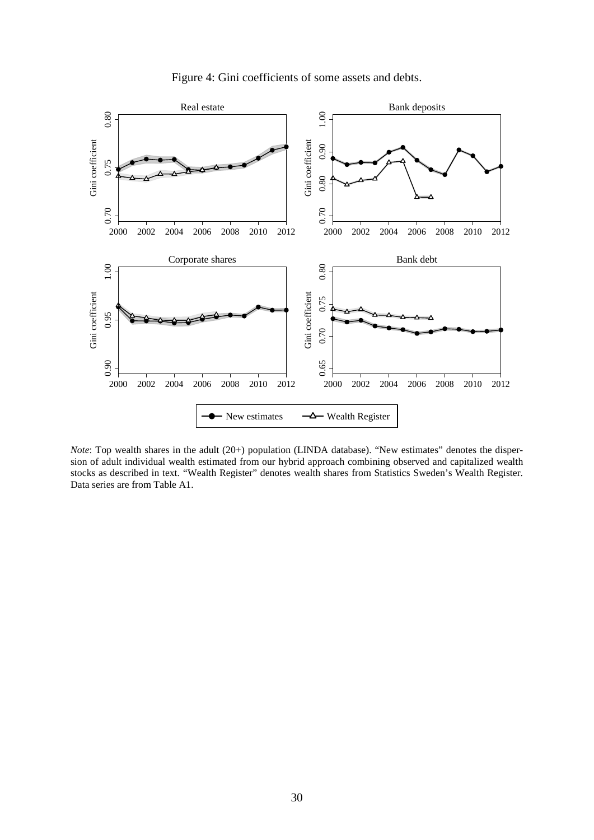



*Note*: Top wealth shares in the adult (20+) population (LINDA database). "New estimates" denotes the dispersion of adult individual wealth estimated from our hybrid approach combining observed and capitalized wealth stocks as described in text. "Wealth Register" denotes wealth shares from Statistics Sweden's Wealth Register.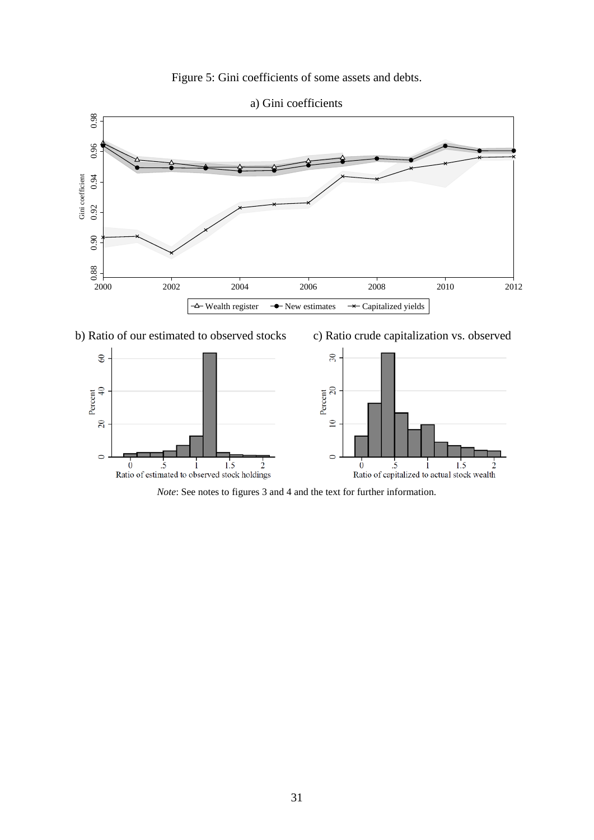



a) Gini coefficients



*Note*: See notes to figures 3 and 4 and the text for further information.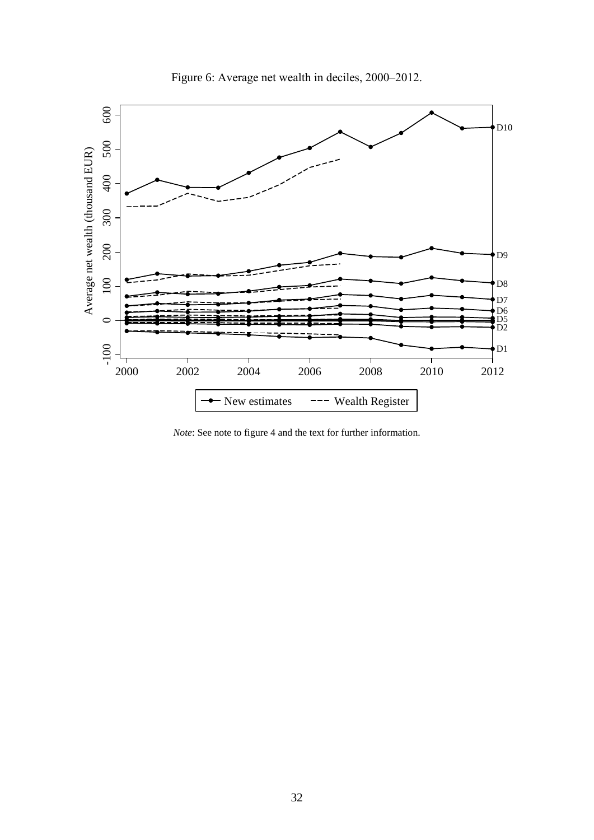

Figure 6: Average net wealth in deciles, 2000-2012.

*Note*: See note to figure 4 and the text for further information.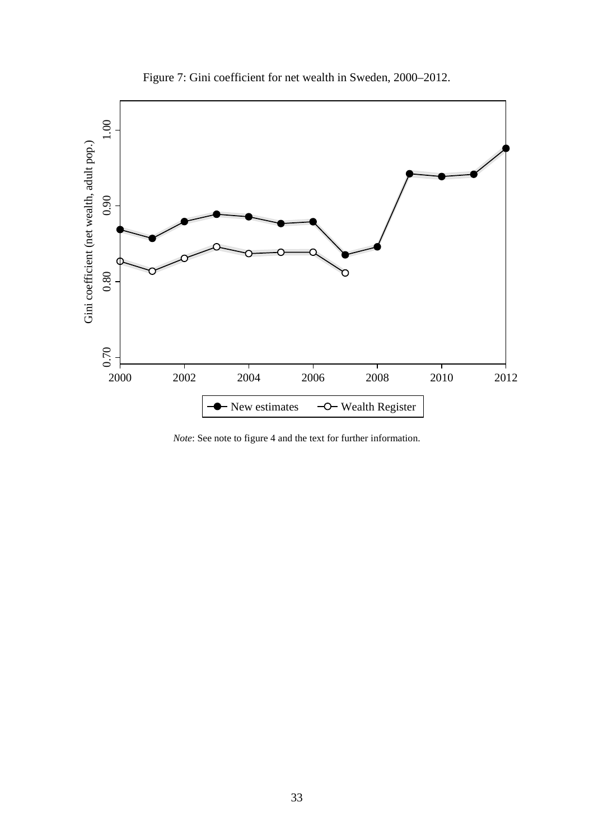

Figure 7: Gini coefficient for net wealth in Sweden, 2000–2012.

*Note*: See note to figure 4 and the text for further information.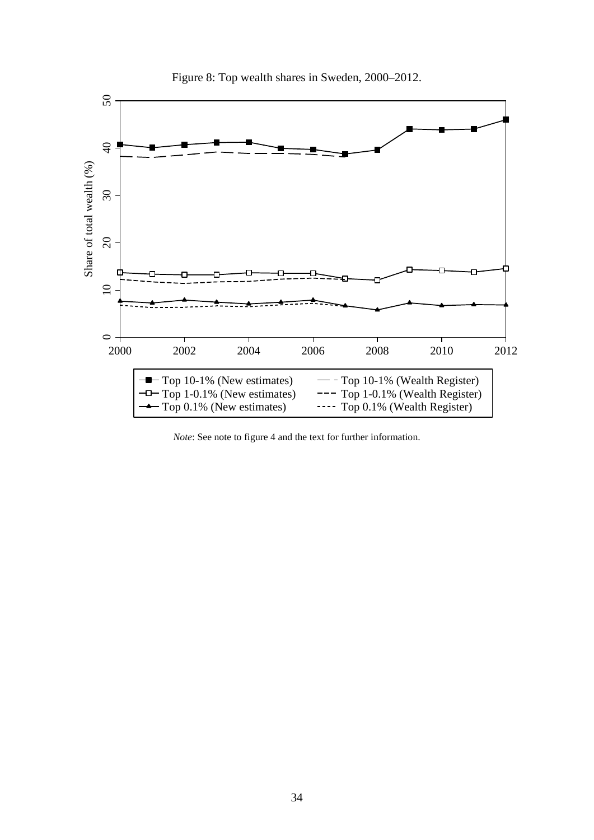

Figure 8: Top wealth shares in Sweden, 2000–2012.

*Note*: See note to figure 4 and the text for further information.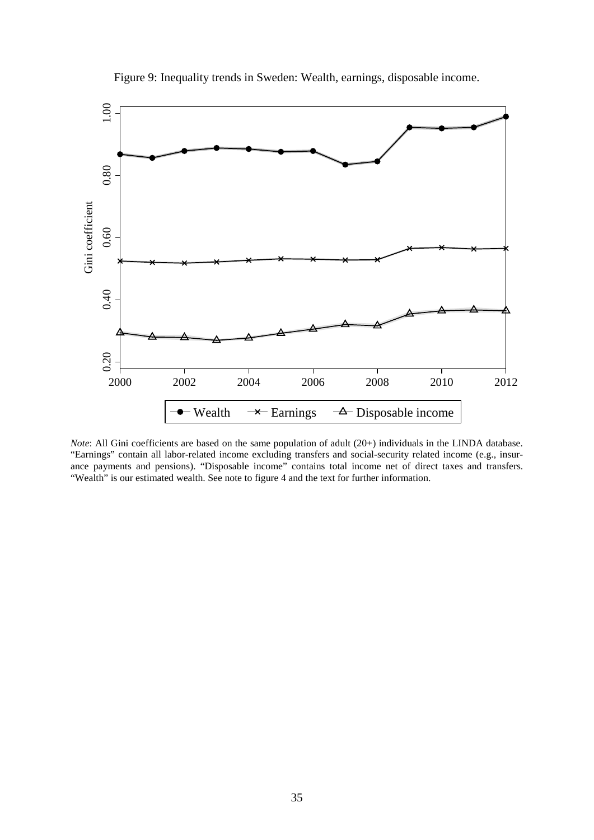

Figure 9: Inequality trends in Sweden: Wealth, earnings, disposable income.

*Note*: All Gini coefficients are based on the same population of adult (20+) individuals in the LINDA database. "Earnings" contain all labor-related income excluding transfers and social-security related income (e.g., insurance payments and pensions). "Disposable income" contains total income net of direct taxes and transfers. "Wealth" is our estimated wealth. See note to figure 4 and the text for further information.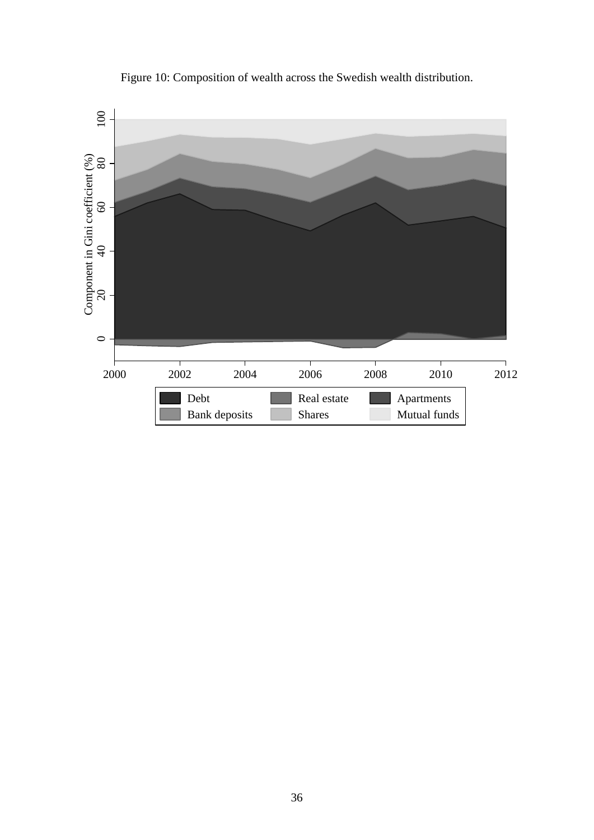

Figure 10: Composition of wealth across the Swedish wealth distribution.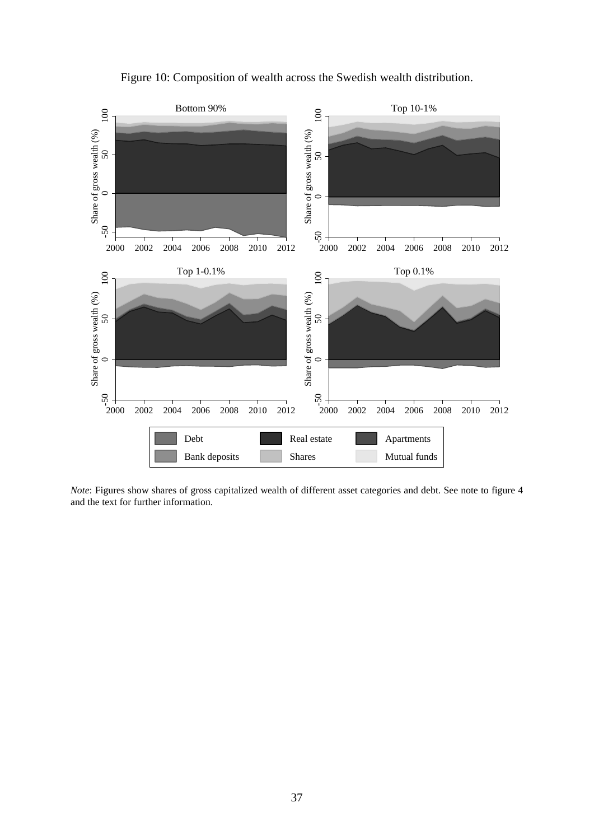



*Note*: Figures show shares of gross capitalized wealth of different asset categories and debt. See note to figure 4 and the text for further information.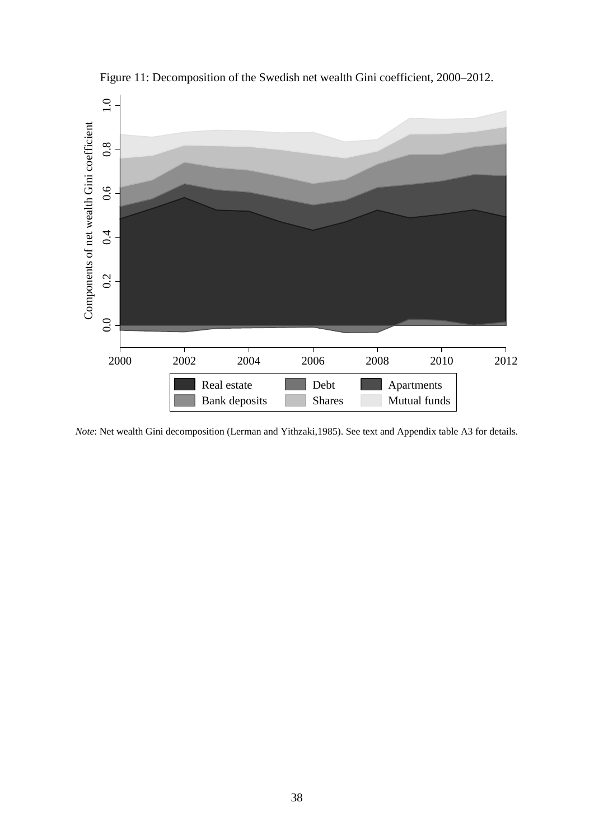

Figure 11: Decomposition of the Swedish net wealth Gini coefficient, 2000–2012.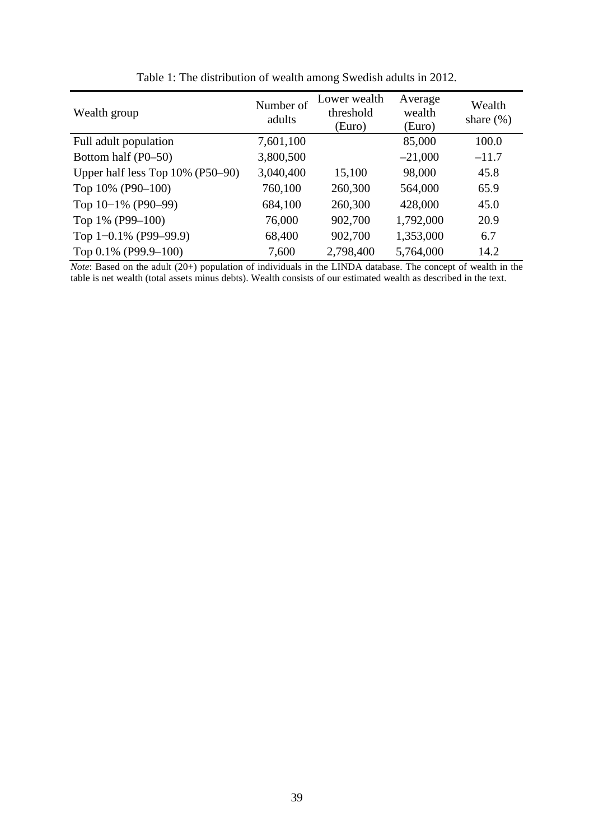| Wealth group                        | Number of<br>adults | Lower wealth<br>threshold<br>(Euro) | Average<br>wealth<br>(Euro) | Wealth<br>share $(\%)$ |
|-------------------------------------|---------------------|-------------------------------------|-----------------------------|------------------------|
| Full adult population               | 7,601,100           |                                     | 85,000                      | 100.0                  |
| Bottom half (P0–50)                 | 3,800,500           |                                     | $-21,000$                   | $-11.7$                |
| Upper half less Top $10\%$ (P50-90) | 3,040,400           | 15,100                              | 98,000                      | 45.8                   |
| Top 10% (P90-100)                   | 760,100             | 260,300                             | 564,000                     | 65.9                   |
| Top $10-1\%$ (P90-99)               | 684,100             | 260,300                             | 428,000                     | 45.0                   |
| Top 1% (P99-100)                    | 76,000              | 902,700                             | 1,792,000                   | 20.9                   |
| Top $1 - 0.1\%$ (P99-99.9)          | 68,400              | 902,700                             | 1,353,000                   | 6.7                    |
| Top 0.1% (P99.9-100)                | 7,600               | 2,798,400                           | 5,764,000                   | 14.2                   |

Table 1: The distribution of wealth among Swedish adults in 2012.

*Note*: Based on the adult (20+) population of individuals in the LINDA database. The concept of wealth in the table is net wealth (total assets minus debts). Wealth consists of our estimated wealth as described in the text.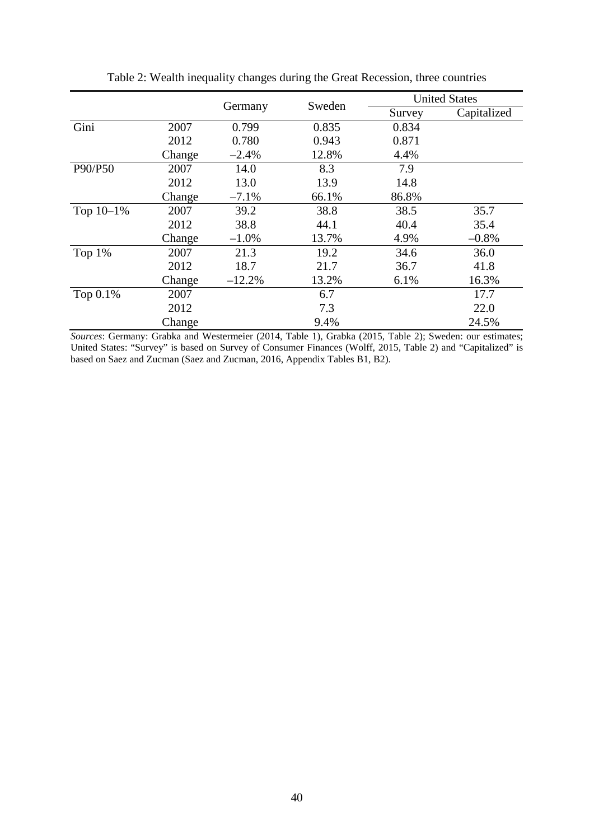|           |        |          |        | <b>United States</b> |             |  |
|-----------|--------|----------|--------|----------------------|-------------|--|
|           |        | Germany  | Sweden | Survey               | Capitalized |  |
| Gini      | 2007   | 0.799    | 0.835  | 0.834                |             |  |
|           | 2012   | 0.780    | 0.943  | 0.871                |             |  |
|           | Change | $-2.4%$  | 12.8%  | 4.4%                 |             |  |
| P90/P50   | 2007   | 14.0     | 8.3    | 7.9                  |             |  |
|           | 2012   | 13.0     | 13.9   | 14.8                 |             |  |
|           | Change | $-7.1%$  | 66.1%  | 86.8%                |             |  |
| Top 10-1% | 2007   | 39.2     | 38.8   | 38.5                 | 35.7        |  |
|           | 2012   | 38.8     | 44.1   | 40.4                 | 35.4        |  |
|           | Change | $-1.0\%$ | 13.7%  | 4.9%                 | $-0.8%$     |  |
| Top 1%    | 2007   | 21.3     | 19.2   | 34.6                 | 36.0        |  |
|           | 2012   | 18.7     | 21.7   | 36.7                 | 41.8        |  |
|           | Change | $-12.2%$ | 13.2%  | 6.1%                 | 16.3%       |  |
| Top 0.1%  | 2007   |          | 6.7    |                      | 17.7        |  |
|           | 2012   |          | 7.3    |                      | 22.0        |  |
|           | Change |          | 9.4%   |                      | 24.5%       |  |

Table 2: Wealth inequality changes during the Great Recession, three countries

*Sources*: Germany: Grabka and Westermeier (2014, Table 1), Grabka (2015, Table 2); Sweden: our estimates; United States: "Survey" is based on Survey of Consumer Finances (Wolff, 2015, Table 2) and "Capitalized" is based on Saez and Zucman (Saez and Zucman, 2016, Appendix Tables B1, B2).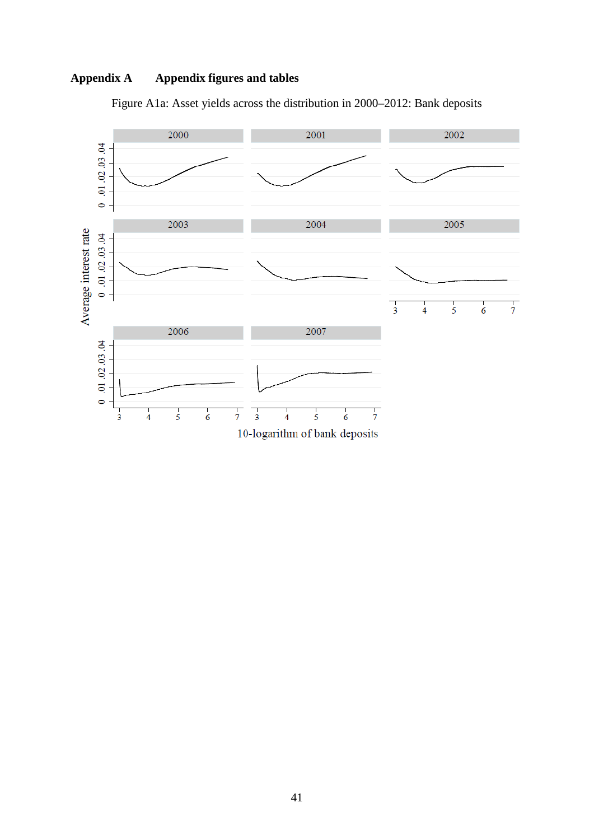# **Appendix A Appendix figures and tables**



Figure A1a: Asset yields across the distribution in 2000–2012: Bank deposits

10-logarithm of bank deposits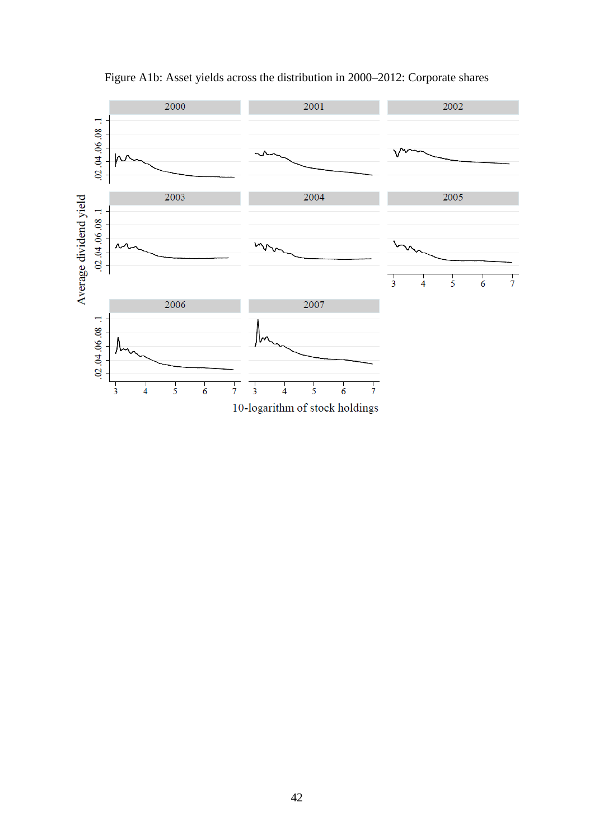

Figure A1b: Asset yields across the distribution in 2000–2012: Corporate shares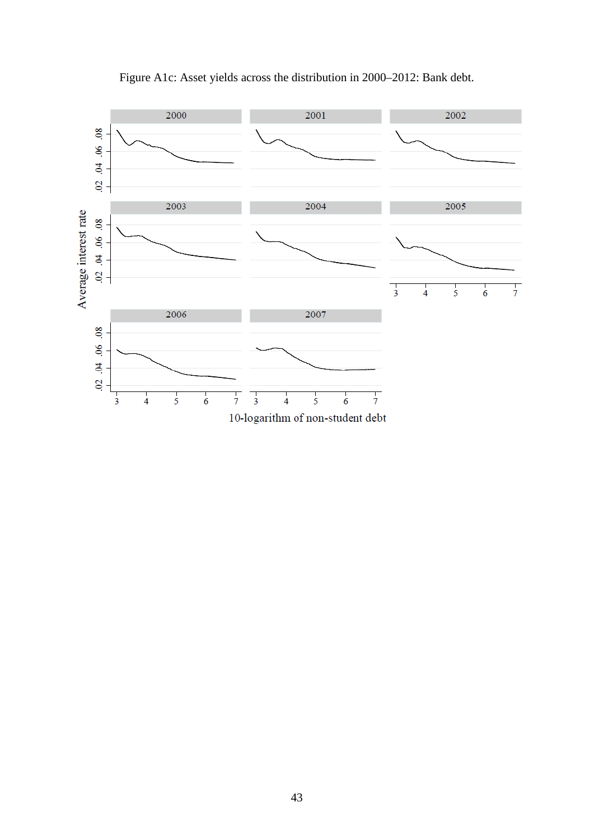

Figure A1c: Asset yields across the distribution in 2000–2012: Bank debt.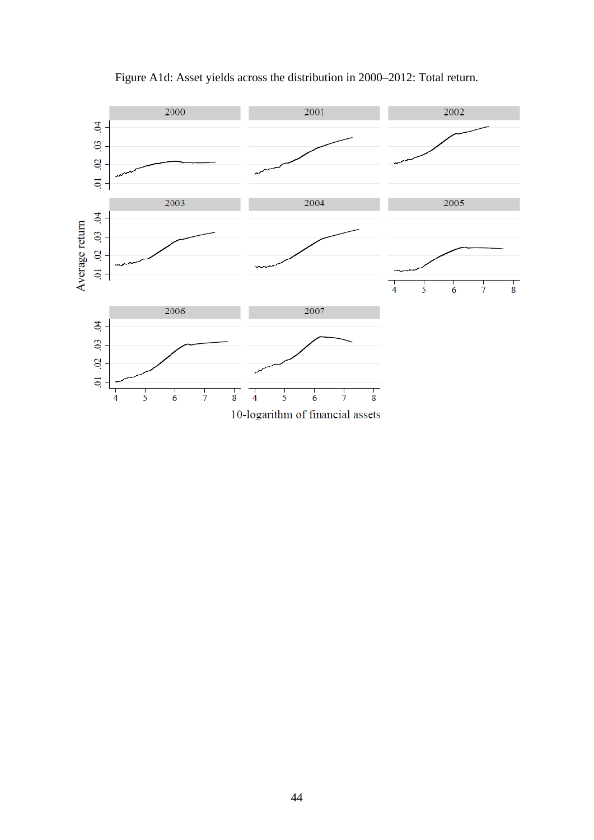

# Figure A1d: Asset yields across the distribution in 2000–2012: Total return.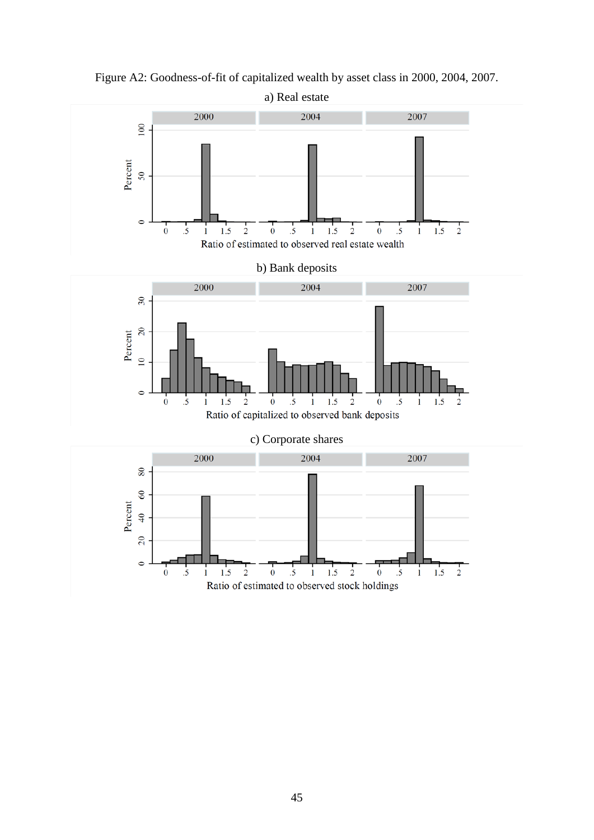

Figure A2: Goodness-of-fit of capitalized wealth by asset class in 2000, 2004, 2007.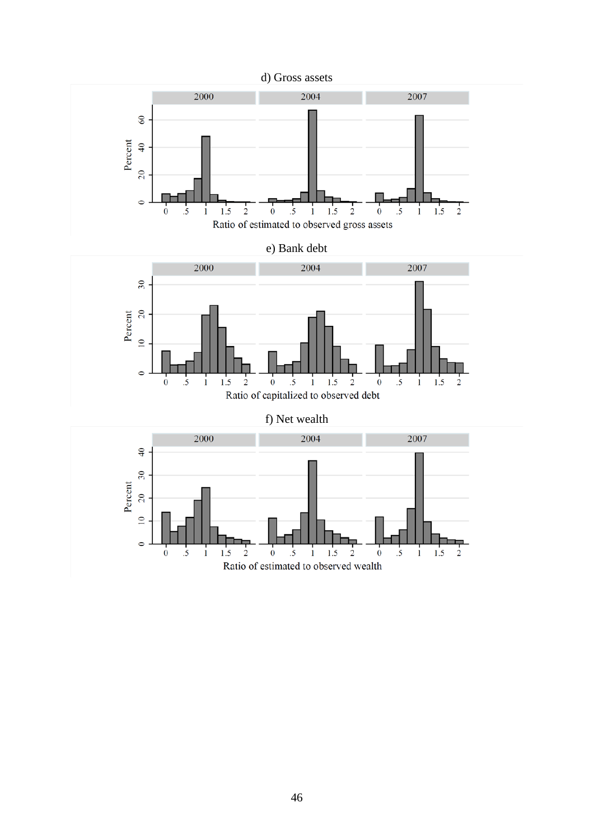

 $1.5$ 

 $\overline{2}$ 

 $\circ$ 

 $1.5$ 

 $\frac{1}{2}$ 

 $\dot{0}$ 

 $\overline{\mathbf{5}}$ 

Ratio of estimated to observed wealth

 $\mathbf{1}$ 

 $1.5$ 

 $\overline{\mathbf{c}}$ 

 $\dot{\mathbf{0}}$  $\cdot$ 5  $\mathbf{i}$ 

 $\cdot$ .5

 $\mathbf{1}$ 

 $\ddot{\mathbf{0}}$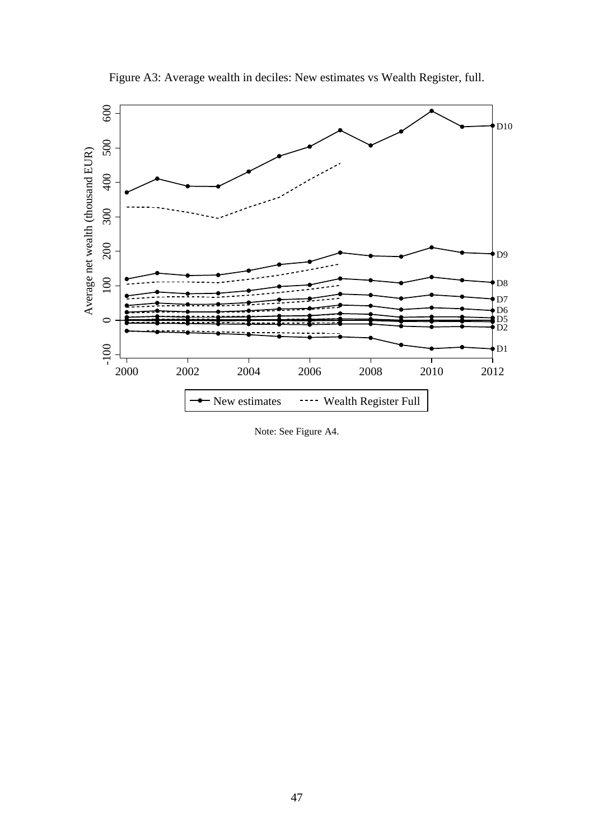

Figure A3: Average wealth in deciles: New estimates vs Wealth Register, full.

Note: See Figure A4.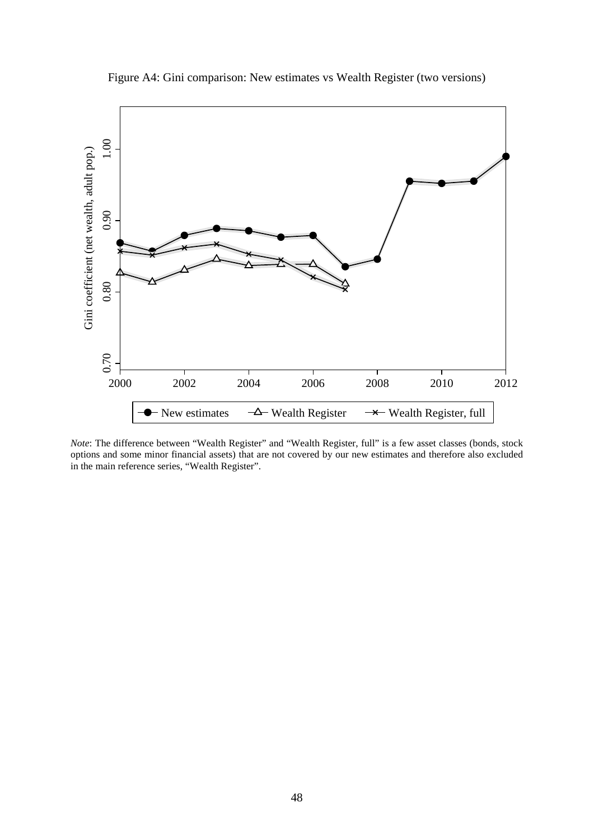

Figure A4: Gini comparison: New estimates vs Wealth Register (two versions)

*Note*: The difference between "Wealth Register" and "Wealth Register, full" is a few asset classes (bonds, stock options and some minor financial assets) that are not covered by our new estimates and therefore also excluded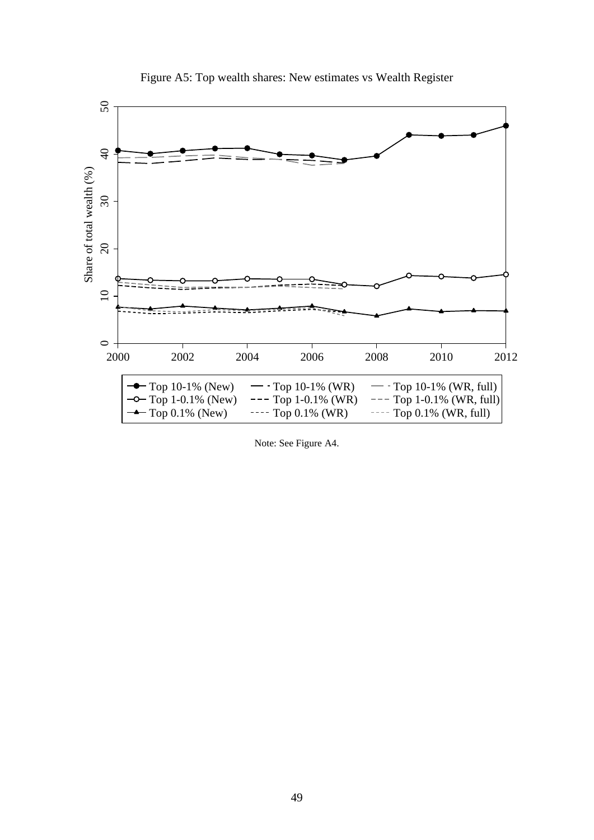

Figure A5: Top wealth shares: New estimates vs Wealth Register

Note: See Figure A4.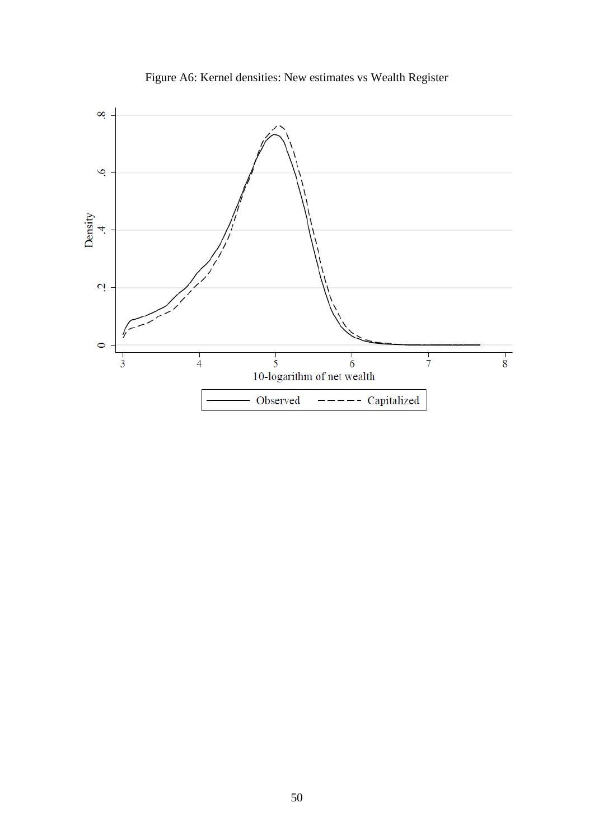

Figure A6: Kernel densities: New estimates vs Wealth Register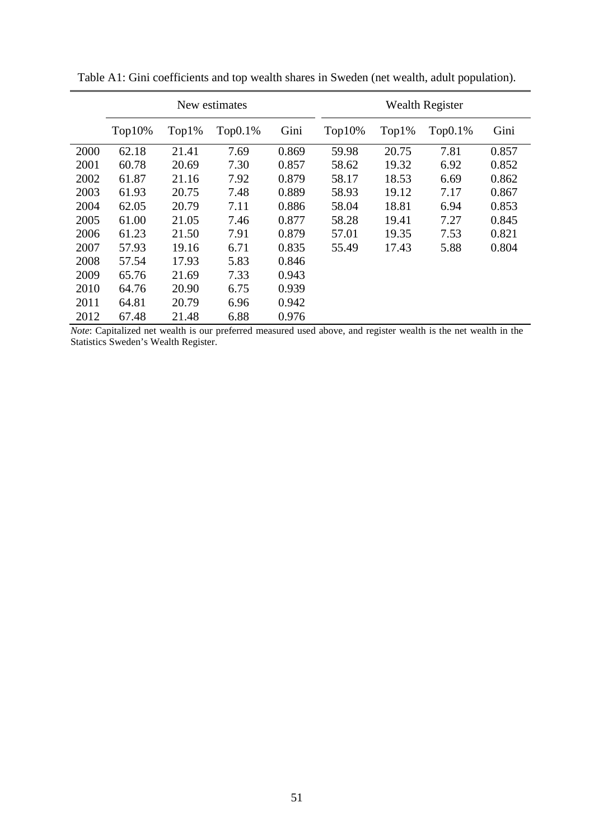|      | New estimates |          |            | <b>Wealth Register</b> |           |       |         |       |
|------|---------------|----------|------------|------------------------|-----------|-------|---------|-------|
|      | $Top10\%$     | $Top1\%$ | $Top0.1\%$ | Gini                   | $Top10\%$ | Top1% | Top0.1% | Gini  |
| 2000 | 62.18         | 21.41    | 7.69       | 0.869                  | 59.98     | 20.75 | 7.81    | 0.857 |
| 2001 | 60.78         | 20.69    | 7.30       | 0.857                  | 58.62     | 19.32 | 6.92    | 0.852 |
| 2002 | 61.87         | 21.16    | 7.92       | 0.879                  | 58.17     | 18.53 | 6.69    | 0.862 |
| 2003 | 61.93         | 20.75    | 7.48       | 0.889                  | 58.93     | 19.12 | 7.17    | 0.867 |
| 2004 | 62.05         | 20.79    | 7.11       | 0.886                  | 58.04     | 18.81 | 6.94    | 0.853 |
| 2005 | 61.00         | 21.05    | 7.46       | 0.877                  | 58.28     | 19.41 | 7.27    | 0.845 |
| 2006 | 61.23         | 21.50    | 7.91       | 0.879                  | 57.01     | 19.35 | 7.53    | 0.821 |
| 2007 | 57.93         | 19.16    | 6.71       | 0.835                  | 55.49     | 17.43 | 5.88    | 0.804 |
| 2008 | 57.54         | 17.93    | 5.83       | 0.846                  |           |       |         |       |
| 2009 | 65.76         | 21.69    | 7.33       | 0.943                  |           |       |         |       |
| 2010 | 64.76         | 20.90    | 6.75       | 0.939                  |           |       |         |       |
| 2011 | 64.81         | 20.79    | 6.96       | 0.942                  |           |       |         |       |
| 2012 | 67.48         | 21.48    | 6.88       | 0.976                  |           |       |         |       |

Table A1: Gini coefficients and top wealth shares in Sweden (net wealth, adult population).

*Note*: Capitalized net wealth is our preferred measured used above, and register wealth is the net wealth in the Statistics Sweden's Wealth Register.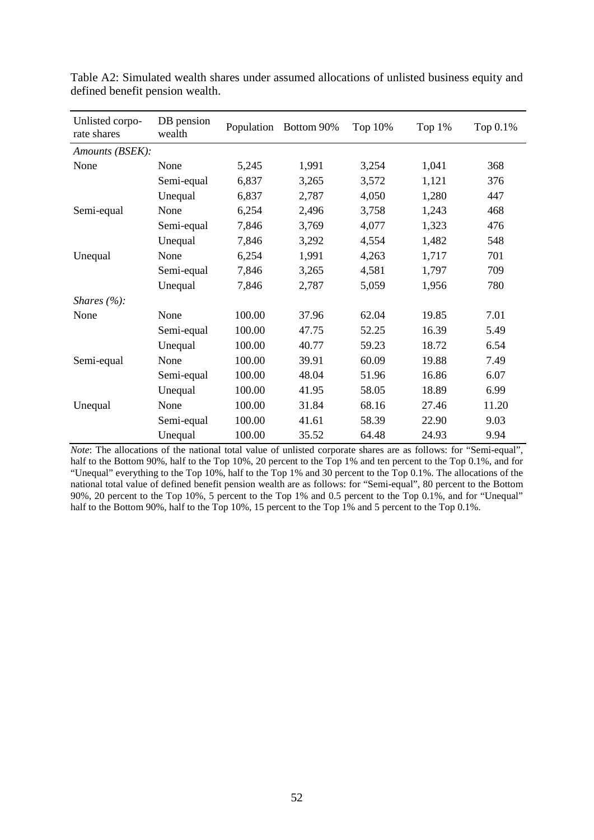| Unlisted corpo-<br>rate shares | DB pension<br>wealth |        | Population Bottom 90% | Top 10% | Top 1% | Top 0.1% |  |
|--------------------------------|----------------------|--------|-----------------------|---------|--------|----------|--|
| Amounts (BSEK):                |                      |        |                       |         |        |          |  |
| None                           | None                 | 5,245  | 1,991                 | 3,254   | 1,041  | 368      |  |
|                                | Semi-equal           | 6,837  | 3,265                 | 3,572   | 1,121  | 376      |  |
|                                | Unequal              | 6,837  | 2,787                 | 4,050   | 1,280  | 447      |  |
| Semi-equal                     | None                 | 6,254  | 2,496                 | 3,758   | 1,243  | 468      |  |
|                                | Semi-equal           | 7,846  | 3,769                 | 4,077   | 1,323  | 476      |  |
|                                | Unequal              | 7,846  | 3,292                 | 4,554   | 1,482  | 548      |  |
| Unequal                        | None                 | 6,254  | 1,991                 | 4,263   | 1,717  | 701      |  |
|                                | Semi-equal           | 7,846  | 3,265                 | 4,581   | 1,797  | 709      |  |
|                                | Unequal              | 7,846  | 2,787                 | 5,059   | 1,956  | 780      |  |
| Shares $(\%):$                 |                      |        |                       |         |        |          |  |
| None                           | None                 | 100.00 | 37.96                 | 62.04   | 19.85  | 7.01     |  |
|                                | Semi-equal           | 100.00 | 47.75                 | 52.25   | 16.39  | 5.49     |  |
|                                | Unequal              | 100.00 | 40.77                 | 59.23   | 18.72  | 6.54     |  |
| Semi-equal                     | None                 | 100.00 | 39.91                 | 60.09   | 19.88  | 7.49     |  |
|                                | Semi-equal           | 100.00 | 48.04                 | 51.96   | 16.86  | 6.07     |  |
|                                | Unequal              | 100.00 | 41.95                 | 58.05   | 18.89  | 6.99     |  |
| Unequal                        | None                 | 100.00 | 31.84                 | 68.16   | 27.46  | 11.20    |  |
|                                | Semi-equal           | 100.00 | 41.61                 | 58.39   | 22.90  | 9.03     |  |
|                                | Unequal              | 100.00 | 35.52                 | 64.48   | 24.93  | 9.94     |  |

Table A2: Simulated wealth shares under assumed allocations of unlisted business equity and defined benefit pension wealth.

*Note*: The allocations of the national total value of unlisted corporate shares are as follows: for "Semi-equal", half to the Bottom 90%, half to the Top 10%, 20 percent to the Top 1% and ten percent to the Top 0.1%, and for "Unequal" everything to the Top 10%, half to the Top 1% and 30 percent to the Top 0.1%. The allocations of the national total value of defined benefit pension wealth are as follows: for "Semi-equal", 80 percent to the Bottom 90%, 20 percent to the Top 10%, 5 percent to the Top 1% and 0.5 percent to the Top 0.1%, and for "Unequal" half to the Bottom 90%, half to the Top 10%, 15 percent to the Top 1% and 5 percent to the Top 0.1%.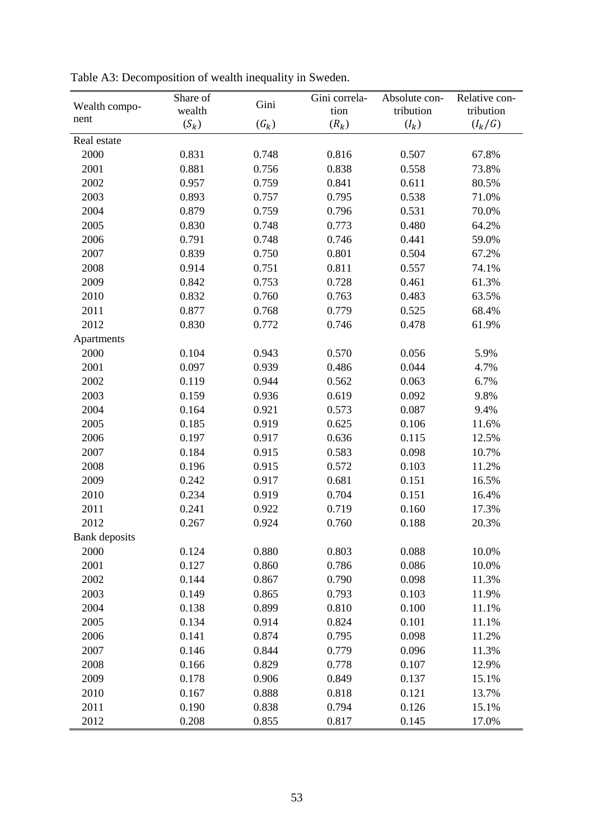|                      | Share of | Gini               | Gini correla- | Absolute con- | Relative con- |
|----------------------|----------|--------------------|---------------|---------------|---------------|
| Wealth compo-        | wealth   |                    | tion          | tribution     | tribution     |
| nent                 | $(S_k)$  | $\left(G_k\right)$ | $(R_k)$       | $(I_k)$       | $(I_k/G)$     |
| Real estate          |          |                    |               |               |               |
| 2000                 | 0.831    | 0.748              | 0.816         | 0.507         | 67.8%         |
| 2001                 | 0.881    | 0.756              | 0.838         | 0.558         | 73.8%         |
| 2002                 | 0.957    | 0.759              | 0.841         | 0.611         | 80.5%         |
| 2003                 | 0.893    | 0.757              | 0.795         | 0.538         | 71.0%         |
| 2004                 | 0.879    | 0.759              | 0.796         | 0.531         | 70.0%         |
| 2005                 | 0.830    | 0.748              | 0.773         | 0.480         | 64.2%         |
| 2006                 | 0.791    | 0.748              | 0.746         | 0.441         | 59.0%         |
| 2007                 | 0.839    | 0.750              | 0.801         | 0.504         | 67.2%         |
| 2008                 | 0.914    | 0.751              | 0.811         | 0.557         | 74.1%         |
| 2009                 | 0.842    | 0.753              | 0.728         | 0.461         | 61.3%         |
| 2010                 | 0.832    | 0.760              | 0.763         | 0.483         | 63.5%         |
| 2011                 | 0.877    | 0.768              | 0.779         | 0.525         | 68.4%         |
| 2012                 | 0.830    | 0.772              | 0.746         | 0.478         | 61.9%         |
| Apartments           |          |                    |               |               |               |
| 2000                 | 0.104    | 0.943              | 0.570         | 0.056         | 5.9%          |
| 2001                 | 0.097    | 0.939              | 0.486         | 0.044         | 4.7%          |
| 2002                 | 0.119    | 0.944              | 0.562         | 0.063         | 6.7%          |
| 2003                 | 0.159    | 0.936              | 0.619         | 0.092         | 9.8%          |
| 2004                 | 0.164    | 0.921              | 0.573         | 0.087         | 9.4%          |
| 2005                 | 0.185    | 0.919              | 0.625         | 0.106         | 11.6%         |
| 2006                 | 0.197    | 0.917              | 0.636         | 0.115         | 12.5%         |
| 2007                 | 0.184    | 0.915              | 0.583         | 0.098         | 10.7%         |
| 2008                 | 0.196    | 0.915              | 0.572         | 0.103         | 11.2%         |
| 2009                 | 0.242    | 0.917              | 0.681         | 0.151         | 16.5%         |
| 2010                 | 0.234    | 0.919              | 0.704         | 0.151         | 16.4%         |
| 2011                 | 0.241    | 0.922              | 0.719         | 0.160         | 17.3%         |
| 2012                 | 0.267    | 0.924              | 0.760         | 0.188         | 20.3%         |
| <b>Bank</b> deposits |          |                    |               |               |               |
| 2000                 | 0.124    | 0.880              | 0.803         | 0.088         | $10.0\%$      |
| 2001                 | 0.127    | 0.860              | 0.786         | 0.086         | 10.0%         |
| 2002                 | 0.144    | 0.867              | 0.790         | 0.098         | 11.3%         |
| 2003                 | 0.149    | 0.865              | 0.793         | 0.103         | 11.9%         |
| 2004                 | 0.138    | 0.899              | 0.810         | 0.100         | 11.1%         |
| 2005                 | 0.134    | 0.914              | 0.824         | 0.101         | 11.1%         |
| 2006                 | 0.141    | 0.874              | 0.795         | 0.098         | 11.2%         |
| 2007                 | 0.146    | 0.844              | 0.779         | 0.096         | 11.3%         |
| 2008                 | 0.166    | 0.829              | 0.778         | 0.107         | 12.9%         |
| 2009                 | 0.178    | 0.906              | 0.849         | 0.137         | 15.1%         |
| 2010                 | 0.167    | 0.888              | 0.818         | 0.121         | 13.7%         |
| 2011                 | 0.190    | 0.838              | 0.794         | 0.126         | 15.1%         |
| 2012                 | 0.208    | 0.855              | 0.817         | 0.145         | 17.0%         |

Table A3: Decomposition of wealth inequality in Sweden.